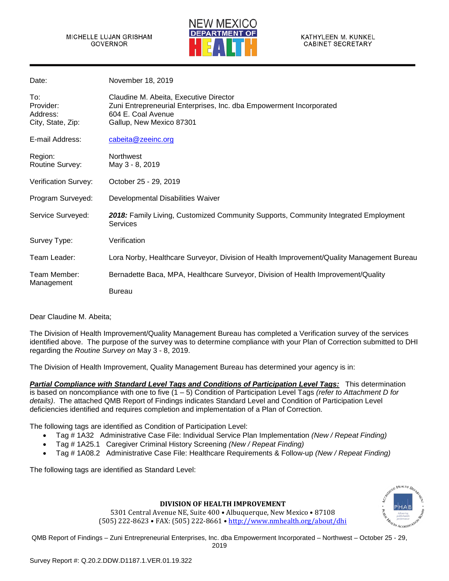

| Date:                                             | November 18, 2019                                                                                                                                               |
|---------------------------------------------------|-----------------------------------------------------------------------------------------------------------------------------------------------------------------|
| To:<br>Provider:<br>Address:<br>City, State, Zip: | Claudine M. Abeita, Executive Director<br>Zuni Entrepreneurial Enterprises, Inc. dba Empowerment Incorporated<br>604 E. Coal Avenue<br>Gallup, New Mexico 87301 |
| E-mail Address:                                   | cabeita@zeeinc.org                                                                                                                                              |
| Region:<br>Routine Survey:                        | <b>Northwest</b><br>May 3 - 8, 2019                                                                                                                             |
| Verification Survey:                              | October 25 - 29, 2019                                                                                                                                           |
| Program Surveyed:                                 | Developmental Disabilities Waiver                                                                                                                               |
| Service Surveyed:                                 | 2018: Family Living, Customized Community Supports, Community Integrated Employment<br><b>Services</b>                                                          |
| Survey Type:                                      | Verification                                                                                                                                                    |
| Team Leader:                                      | Lora Norby, Healthcare Surveyor, Division of Health Improvement/Quality Management Bureau                                                                       |
| Team Member:                                      | Bernadette Baca, MPA, Healthcare Surveyor, Division of Health Improvement/Quality                                                                               |
| Management                                        | Bureau                                                                                                                                                          |

Dear Claudine M. Abeita;

The Division of Health Improvement/Quality Management Bureau has completed a Verification survey of the services identified above. The purpose of the survey was to determine compliance with your Plan of Correction submitted to DHI regarding the *Routine Survey on* May 3 - 8, 2019.

The Division of Health Improvement, Quality Management Bureau has determined your agency is in:

*Partial Compliance with Standard Level Tags and Conditions of Participation Level Tags:* This determination is based on noncompliance with one to five (1 – 5) Condition of Participation Level Tags *(refer to Attachment D for details)*. The attached QMB Report of Findings indicates Standard Level and Condition of Participation Level deficiencies identified and requires completion and implementation of a Plan of Correction.

The following tags are identified as Condition of Participation Level:

- Tag # 1A32 Administrative Case File: Individual Service Plan Implementation *(New / Repeat Finding)*
- Tag # 1A25.1 Caregiver Criminal History Screening *(New / Repeat Finding)*
- Tag # 1A08.2 Administrative Case File: Healthcare Requirements & Follow-up *(New / Repeat Finding)*

The following tags are identified as Standard Level:



### **DIVISION OF HEALTH IMPROVEMENT**

5301 Central Avenue NE, Suite 400 • Albuquerque, New Mexico • 87108 (505) 222-8623 • FAX: (505) 222-8661 • [http://www.nmhealth.org/about/dhi](http://www.nmhealth.org/about/dhis)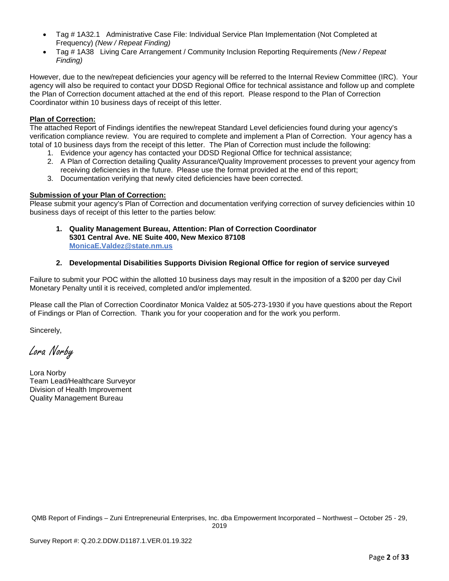- Tag # 1A32.1 Administrative Case File: Individual Service Plan Implementation (Not Completed at Frequency) *(New / Repeat Finding)*
- Tag # 1A38 Living Care Arrangement / Community Inclusion Reporting Requirements *(New / Repeat Finding)*

However, due to the new/repeat deficiencies your agency will be referred to the Internal Review Committee (IRC). Your agency will also be required to contact your DDSD Regional Office for technical assistance and follow up and complete the Plan of Correction document attached at the end of this report. Please respond to the Plan of Correction Coordinator within 10 business days of receipt of this letter.

# **Plan of Correction:**

The attached Report of Findings identifies the new/repeat Standard Level deficiencies found during your agency's verification compliance review. You are required to complete and implement a Plan of Correction. Your agency has a total of 10 business days from the receipt of this letter. The Plan of Correction must include the following:

- 1. Evidence your agency has contacted your DDSD Regional Office for technical assistance;
- 2. A Plan of Correction detailing Quality Assurance/Quality Improvement processes to prevent your agency from receiving deficiencies in the future. Please use the format provided at the end of this report;
- 3. Documentation verifying that newly cited deficiencies have been corrected.

# **Submission of your Plan of Correction:**

Please submit your agency's Plan of Correction and documentation verifying correction of survey deficiencies within 10 business days of receipt of this letter to the parties below:

**1. Quality Management Bureau, Attention: Plan of Correction Coordinator 5301 Central Ave. NE Suite 400, New Mexico 87108 [MonicaE.Valdez@state.nm.us](mailto:MonicaE.Valdez@state.nm.us)**

# **2. Developmental Disabilities Supports Division Regional Office for region of service surveyed**

Failure to submit your POC within the allotted 10 business days may result in the imposition of a \$200 per day Civil Monetary Penalty until it is received, completed and/or implemented.

Please call the Plan of Correction Coordinator Monica Valdez at 505-273-1930 if you have questions about the Report of Findings or Plan of Correction. Thank you for your cooperation and for the work you perform.

Sincerely,

Lora Norby

Lora Norby Team Lead/Healthcare Surveyor Division of Health Improvement Quality Management Bureau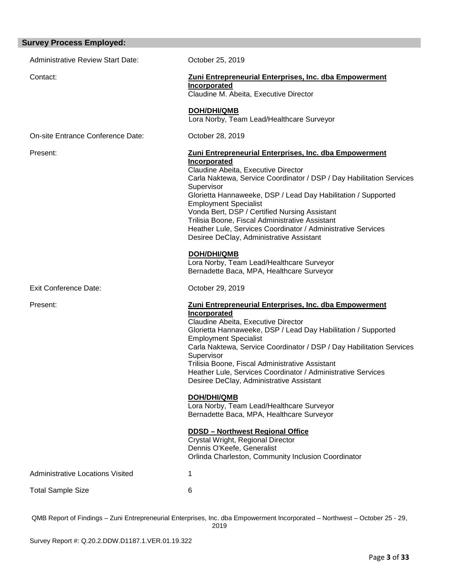# **Survey Process Employed:**  Administrative Review Start Date: Corober 25, 2019 Contact: **Zuni Entrepreneurial Enterprises, Inc. dba Empowerment Incorporated** Claudine M. Abeita, Executive Director  **DOH/DHI/QMB** Lora Norby, Team Lead/Healthcare Surveyor On-site Entrance Conference Date: October 28, 2019 Present: **Zuni Entrepreneurial Enterprises, Inc. dba Empowerment Incorporated** Claudine Abeita, Executive Director Carla Naktewa, Service Coordinator / DSP / Day Habilitation Services Supervisor Glorietta Hannaweeke, DSP / Lead Day Habilitation / Supported Employment Specialist Vonda Bert, DSP / Certified Nursing Assistant Trilisia Boone, Fiscal Administrative Assistant Heather Lule, Services Coordinator / Administrative Services Desiree DeClay, Administrative Assistant  **DOH/DHI/QMB** Lora Norby, Team Lead/Healthcare Surveyor Bernadette Baca, MPA, Healthcare Surveyor Exit Conference Date: Conference Date: Conference Date: Present: **Zuni Entrepreneurial Enterprises, Inc. dba Empowerment Incorporated** Claudine Abeita, Executive Director Glorietta Hannaweeke, DSP / Lead Day Habilitation / Supported Employment Specialist Carla Naktewa, Service Coordinator / DSP / Day Habilitation Services Supervisor Trilisia Boone, Fiscal Administrative Assistant Heather Lule, Services Coordinator / Administrative Services Desiree DeClay, Administrative Assistant **DOH/DHI/QMB** Lora Norby, Team Lead/Healthcare Surveyor Bernadette Baca, MPA, Healthcare Surveyor **DDSD – Northwest Regional Office** Crystal Wright, Regional Director Dennis O'Keefe, Generalist Orlinda Charleston, Community Inclusion Coordinator Administrative Locations Visited 1 Total Sample Size 6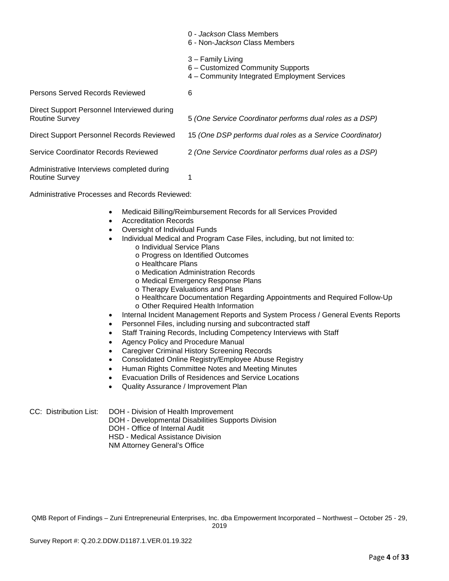|                                                                      | 0 - Jackson Class Members<br>6 - Non- <i>Jackson</i> Class Members                                     |
|----------------------------------------------------------------------|--------------------------------------------------------------------------------------------------------|
|                                                                      | 3 - Family Living<br>6 - Customized Community Supports<br>4 - Community Integrated Employment Services |
| Persons Served Records Reviewed                                      | 6                                                                                                      |
| Direct Support Personnel Interviewed during<br><b>Routine Survey</b> | 5 (One Service Coordinator performs dual roles as a DSP)                                               |
| Direct Support Personnel Records Reviewed                            | 15 (One DSP performs dual roles as a Service Coordinator)                                              |
| Service Coordinator Records Reviewed                                 | 2 (One Service Coordinator performs dual roles as a DSP)                                               |
| Administrative Interviews completed during<br><b>Routine Survey</b>  | 1                                                                                                      |

Administrative Processes and Records Reviewed:

- Medicaid Billing/Reimbursement Records for all Services Provided
- Accreditation Records
- Oversight of Individual Funds
- Individual Medical and Program Case Files, including, but not limited to:
	- o Individual Service Plans
	- o Progress on Identified Outcomes
	- o Healthcare Plans
	- o Medication Administration Records
	- o Medical Emergency Response Plans
	- o Therapy Evaluations and Plans
	- o Healthcare Documentation Regarding Appointments and Required Follow-Up o Other Required Health Information
- Internal Incident Management Reports and System Process / General Events Reports
- Personnel Files, including nursing and subcontracted staff
- Staff Training Records, Including Competency Interviews with Staff
- Agency Policy and Procedure Manual
- 
- Caregiver Criminal History Screening Records<br>• Consolidated Online Registry/Employee Ahuse • Consolidated Online Registry/Employee Abuse Registry
- Human Rights Committee Notes and Meeting Minutes
- Evacuation Drills of Residences and Service Locations
- Quality Assurance / Improvement Plan

# CC: Distribution List: DOH - Division of Health Improvement

- DOH Developmental Disabilities Supports Division
	- DOH Office of Internal Audit
	- HSD Medical Assistance Division
	- NM Attorney General's Office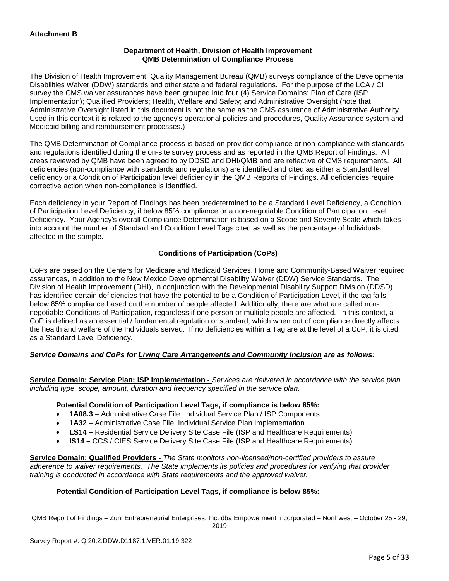## **Department of Health, Division of Health Improvement QMB Determination of Compliance Process**

The Division of Health Improvement, Quality Management Bureau (QMB) surveys compliance of the Developmental Disabilities Waiver (DDW) standards and other state and federal regulations. For the purpose of the LCA / CI survey the CMS waiver assurances have been grouped into four (4) Service Domains: Plan of Care (ISP Implementation); Qualified Providers; Health, Welfare and Safety; and Administrative Oversight (note that Administrative Oversight listed in this document is not the same as the CMS assurance of Administrative Authority. Used in this context it is related to the agency's operational policies and procedures, Quality Assurance system and Medicaid billing and reimbursement processes.)

The QMB Determination of Compliance process is based on provider compliance or non-compliance with standards and regulations identified during the on-site survey process and as reported in the QMB Report of Findings. All areas reviewed by QMB have been agreed to by DDSD and DHI/QMB and are reflective of CMS requirements. All deficiencies (non-compliance with standards and regulations) are identified and cited as either a Standard level deficiency or a Condition of Participation level deficiency in the QMB Reports of Findings. All deficiencies require corrective action when non-compliance is identified.

Each deficiency in your Report of Findings has been predetermined to be a Standard Level Deficiency, a Condition of Participation Level Deficiency, if below 85% compliance or a non-negotiable Condition of Participation Level Deficiency. Your Agency's overall Compliance Determination is based on a Scope and Severity Scale which takes into account the number of Standard and Condition Level Tags cited as well as the percentage of Individuals affected in the sample.

# **Conditions of Participation (CoPs)**

CoPs are based on the Centers for Medicare and Medicaid Services, Home and Community-Based Waiver required assurances, in addition to the New Mexico Developmental Disability Waiver (DDW) Service Standards. The Division of Health Improvement (DHI), in conjunction with the Developmental Disability Support Division (DDSD), has identified certain deficiencies that have the potential to be a Condition of Participation Level, if the tag falls below 85% compliance based on the number of people affected. Additionally, there are what are called nonnegotiable Conditions of Participation, regardless if one person or multiple people are affected. In this context, a CoP is defined as an essential / fundamental regulation or standard, which when out of compliance directly affects the health and welfare of the Individuals served. If no deficiencies within a Tag are at the level of a CoP, it is cited as a Standard Level Deficiency.

# *Service Domains and CoPs for Living Care Arrangements and Community Inclusion are as follows:*

**Service Domain: Service Plan: ISP Implementation -** *Services are delivered in accordance with the service plan, including type, scope, amount, duration and frequency specified in the service plan.*

### **Potential Condition of Participation Level Tags, if compliance is below 85%:**

- **1A08.3 –** Administrative Case File: Individual Service Plan / ISP Components
- **1A32 –** Administrative Case File: Individual Service Plan Implementation
- **LS14 –** Residential Service Delivery Site Case File (ISP and Healthcare Requirements)
- **IS14 –** CCS / CIES Service Delivery Site Case File (ISP and Healthcare Requirements)

**Service Domain: Qualified Providers -** *The State monitors non-licensed/non-certified providers to assure adherence to waiver requirements. The State implements its policies and procedures for verifying that provider training is conducted in accordance with State requirements and the approved waiver.*

### **Potential Condition of Participation Level Tags, if compliance is below 85%:**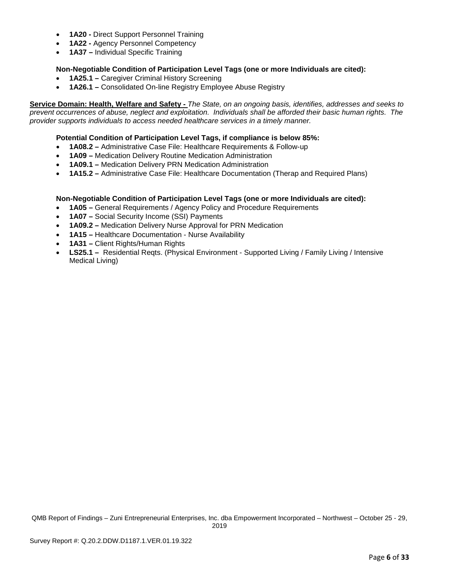- **1A20 -** Direct Support Personnel Training
- **1A22 -** Agency Personnel Competency
- **1A37 –** Individual Specific Training

# **Non-Negotiable Condition of Participation Level Tags (one or more Individuals are cited):**

- **1A25.1 –** Caregiver Criminal History Screening
- **1A26.1 –** Consolidated On-line Registry Employee Abuse Registry

**Service Domain: Health, Welfare and Safety -** *The State, on an ongoing basis, identifies, addresses and seeks to prevent occurrences of abuse, neglect and exploitation. Individuals shall be afforded their basic human rights. The provider supports individuals to access needed healthcare services in a timely manner.*

## **Potential Condition of Participation Level Tags, if compliance is below 85%:**

- **1A08.2 –** Administrative Case File: Healthcare Requirements & Follow-up
- **1A09 –** Medication Delivery Routine Medication Administration
- **1A09.1 –** Medication Delivery PRN Medication Administration
- **1A15.2 –** Administrative Case File: Healthcare Documentation (Therap and Required Plans)

## **Non-Negotiable Condition of Participation Level Tags (one or more Individuals are cited):**

- **1A05 –** General Requirements / Agency Policy and Procedure Requirements
- **1A07 –** Social Security Income (SSI) Payments
- **1A09.2 –** Medication Delivery Nurse Approval for PRN Medication
- **1A15 –** Healthcare Documentation Nurse Availability
- **1A31 –** Client Rights/Human Rights
- **LS25.1** Residential Regts. (Physical Environment Supported Living / Family Living / Intensive Medical Living)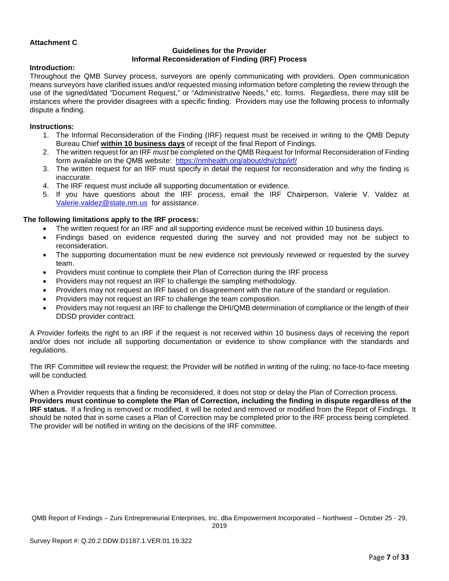## **Attachment C**

## **Guidelines for the Provider Informal Reconsideration of Finding (IRF) Process**

### **Introduction:**

Throughout the QMB Survey process, surveyors are openly communicating with providers. Open communication means surveyors have clarified issues and/or requested missing information before completing the review through the use of the signed/dated "Document Request," or "Administrative Needs," etc. forms. Regardless, there may still be instances where the provider disagrees with a specific finding. Providers may use the following process to informally dispute a finding.

#### **Instructions:**

- 1. The Informal Reconsideration of the Finding (IRF) request must be received in writing to the QMB Deputy Bureau Chief **within 10 business days** of receipt of the final Report of Findings.
- 2. The written request for an IRF *must* be completed on the QMB Request for Informal Reconsideration of Finding form available on the QMB website: <https://nmhealth.org/about/dhi/cbp/irf/>
- 3. The written request for an IRF must specify in detail the request for reconsideration and why the finding is inaccurate.
- 4. The IRF request must include all supporting documentation or evidence.
- 5. If you have questions about the IRF process, email the IRF Chairperson, Valerie V. Valdez at [Valerie.valdez@state.nm.us](mailto:Valerie.valdez@state.nm.us) for assistance.

### **The following limitations apply to the IRF process:**

- The written request for an IRF and all supporting evidence must be received within 10 business days.
- Findings based on evidence requested during the survey and not provided may not be subject to reconsideration.
- The supporting documentation must be new evidence not previously reviewed or requested by the survey team.
- Providers must continue to complete their Plan of Correction during the IRF process
- Providers may not request an IRF to challenge the sampling methodology.
- Providers may not request an IRF based on disagreement with the nature of the standard or regulation.
- Providers may not request an IRF to challenge the team composition.
- Providers may not request an IRF to challenge the DHI/QMB determination of compliance or the length of their DDSD provider contract.

A Provider forfeits the right to an IRF if the request is not received within 10 business days of receiving the report and/or does not include all supporting documentation or evidence to show compliance with the standards and regulations.

The IRF Committee will review the request; the Provider will be notified in writing of the ruling; no face-to-face meeting will be conducted.

When a Provider requests that a finding be reconsidered, it does not stop or delay the Plan of Correction process. **Providers must continue to complete the Plan of Correction, including the finding in dispute regardless of the IRF status.** If a finding is removed or modified, it will be noted and removed or modified from the Report of Findings. It should be noted that in some cases a Plan of Correction may be completed prior to the IRF process being completed. The provider will be notified in writing on the decisions of the IRF committee.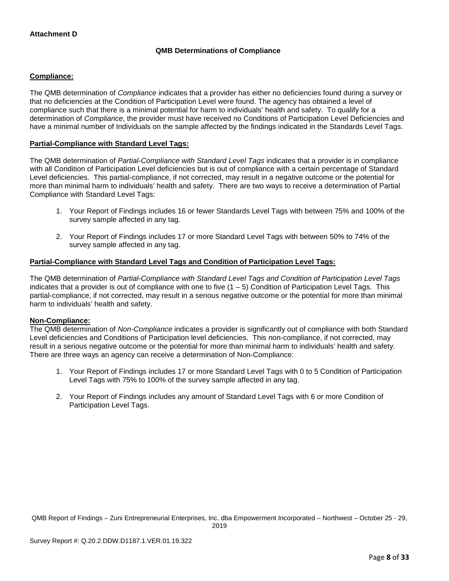# **QMB Determinations of Compliance**

## **Compliance:**

The QMB determination of *Compliance* indicates that a provider has either no deficiencies found during a survey or that no deficiencies at the Condition of Participation Level were found. The agency has obtained a level of compliance such that there is a minimal potential for harm to individuals' health and safety. To qualify for a determination of *Compliance*, the provider must have received no Conditions of Participation Level Deficiencies and have a minimal number of Individuals on the sample affected by the findings indicated in the Standards Level Tags.

## **Partial-Compliance with Standard Level Tags:**

The QMB determination of *Partial-Compliance with Standard Level Tags* indicates that a provider is in compliance with all Condition of Participation Level deficiencies but is out of compliance with a certain percentage of Standard Level deficiencies. This partial-compliance, if not corrected, may result in a negative outcome or the potential for more than minimal harm to individuals' health and safety. There are two ways to receive a determination of Partial Compliance with Standard Level Tags:

- 1. Your Report of Findings includes 16 or fewer Standards Level Tags with between 75% and 100% of the survey sample affected in any tag.
- 2. Your Report of Findings includes 17 or more Standard Level Tags with between 50% to 74% of the survey sample affected in any tag.

### **Partial-Compliance with Standard Level Tags and Condition of Participation Level Tags:**

The QMB determination of *Partial-Compliance with Standard Level Tags and Condition of Participation Level Tags*  indicates that a provider is out of compliance with one to five  $(1 - 5)$  Condition of Participation Level Tags. This partial-compliance, if not corrected, may result in a serious negative outcome or the potential for more than minimal harm to individuals' health and safety.

### **Non-Compliance:**

The QMB determination of *Non-Compliance* indicates a provider is significantly out of compliance with both Standard Level deficiencies and Conditions of Participation level deficiencies. This non-compliance, if not corrected, may result in a serious negative outcome or the potential for more than minimal harm to individuals' health and safety. There are three ways an agency can receive a determination of Non-Compliance:

- 1. Your Report of Findings includes 17 or more Standard Level Tags with 0 to 5 Condition of Participation Level Tags with 75% to 100% of the survey sample affected in any tag.
- 2. Your Report of Findings includes any amount of Standard Level Tags with 6 or more Condition of Participation Level Tags.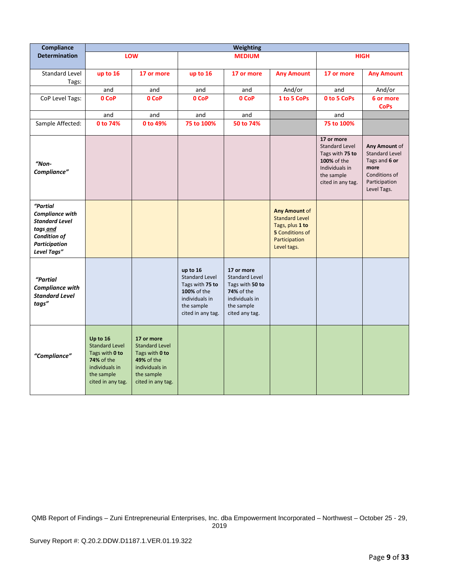| <b>Compliance</b>                                                                                                              |                                                                                                                        |                                                                                                                                 |                                                                                                                                 | Weighting                                                                                                              |                                                                                                                     |                                                                                                                            |                                                                                                                  |
|--------------------------------------------------------------------------------------------------------------------------------|------------------------------------------------------------------------------------------------------------------------|---------------------------------------------------------------------------------------------------------------------------------|---------------------------------------------------------------------------------------------------------------------------------|------------------------------------------------------------------------------------------------------------------------|---------------------------------------------------------------------------------------------------------------------|----------------------------------------------------------------------------------------------------------------------------|------------------------------------------------------------------------------------------------------------------|
| <b>Determination</b>                                                                                                           |                                                                                                                        | LOW                                                                                                                             |                                                                                                                                 | <b>MEDIUM</b>                                                                                                          |                                                                                                                     |                                                                                                                            | <b>HIGH</b>                                                                                                      |
| Standard Level<br>Tags:                                                                                                        | up to 16                                                                                                               | 17 or more                                                                                                                      | up to 16                                                                                                                        | 17 or more                                                                                                             | <b>Any Amount</b>                                                                                                   | 17 or more                                                                                                                 | <b>Any Amount</b>                                                                                                |
|                                                                                                                                | and                                                                                                                    | and                                                                                                                             | and                                                                                                                             | and                                                                                                                    | And/or                                                                                                              | and                                                                                                                        | And/or                                                                                                           |
| CoP Level Tags:                                                                                                                | 0 CoP                                                                                                                  | 0 CoP                                                                                                                           | 0 CoP                                                                                                                           | 0 CoP                                                                                                                  | 1 to 5 CoPs                                                                                                         | <b>0 to 5 CoPs</b>                                                                                                         | 6 or more<br><b>CoPs</b>                                                                                         |
|                                                                                                                                | and                                                                                                                    | and                                                                                                                             | and                                                                                                                             | and                                                                                                                    |                                                                                                                     | and                                                                                                                        |                                                                                                                  |
| Sample Affected:                                                                                                               | 0 to 74%                                                                                                               | 0 to 49%                                                                                                                        | 75 to 100%                                                                                                                      | 50 to 74%                                                                                                              |                                                                                                                     | 75 to 100%                                                                                                                 |                                                                                                                  |
| $"$ Non-<br>Compliance"                                                                                                        |                                                                                                                        |                                                                                                                                 |                                                                                                                                 |                                                                                                                        |                                                                                                                     | 17 or more<br><b>Standard Level</b><br>Tags with 75 to<br>100% of the<br>Individuals in<br>the sample<br>cited in any tag. | Any Amount of<br><b>Standard Level</b><br>Tags and 6 or<br>more<br>Conditions of<br>Participation<br>Level Tags. |
| "Partial<br><b>Compliance with</b><br><b>Standard Level</b><br>tags and<br><b>Condition of</b><br>Participation<br>Level Tags" |                                                                                                                        |                                                                                                                                 |                                                                                                                                 |                                                                                                                        | Any Amount of<br><b>Standard Level</b><br>Tags, plus 1 to<br><b>5</b> Conditions of<br>Participation<br>Level tags. |                                                                                                                            |                                                                                                                  |
| "Partial<br><b>Compliance with</b><br><b>Standard Level</b><br>tags"                                                           |                                                                                                                        |                                                                                                                                 | up to 16<br><b>Standard Level</b><br>Tags with 75 to<br><b>100% of the</b><br>individuals in<br>the sample<br>cited in any tag. | 17 or more<br>Standard Level<br>Tags with 50 to<br><b>74%</b> of the<br>individuals in<br>the sample<br>cited any tag. |                                                                                                                     |                                                                                                                            |                                                                                                                  |
| "Compliance"                                                                                                                   | Up to 16<br><b>Standard Level</b><br>Tags with 0 to<br>74% of the<br>individuals in<br>the sample<br>cited in any tag. | 17 or more<br><b>Standard Level</b><br>Tags with 0 to<br><b>49% of the</b><br>individuals in<br>the sample<br>cited in any tag. |                                                                                                                                 |                                                                                                                        |                                                                                                                     |                                                                                                                            |                                                                                                                  |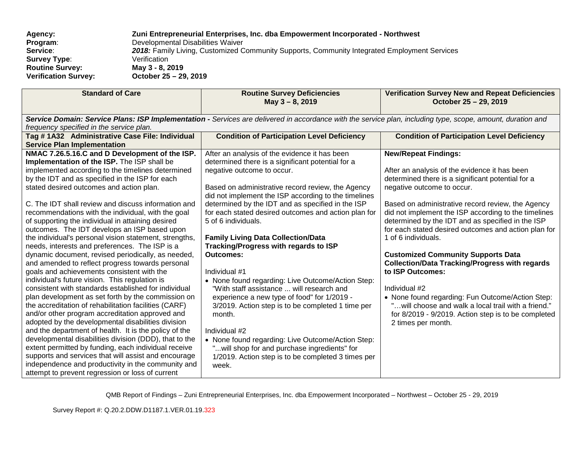| Agency:                     | Zuni Entrepreneurial Enterprises, Inc. dba Empowerment Incorporated - Northwest              |
|-----------------------------|----------------------------------------------------------------------------------------------|
| Program:                    | Developmental Disabilities Waiver                                                            |
| Service:                    | 2018: Family Living, Customized Community Supports, Community Integrated Employment Services |
| <b>Survey Type:</b>         | Verification                                                                                 |
| <b>Routine Survey:</b>      | May 3 - 8, 2019                                                                              |
| <b>Verification Survey:</b> | October 25 - 29, 2019                                                                        |

| <b>Standard of Care</b>                                                                                                                                                                                                                                                                                                                                                                                                                                                                                                                                                                                                                                                                                                                                                                                                                                                                                                                                                                                                                                                                                                                                                                                                                                                                                                                                                                                                | <b>Routine Survey Deficiencies</b><br>May 3 - 8, 2019                                                                                                                                                                                                                                                                                                                                                                                                                                                                                                                                                                                                                                                                                                                                                                                                                                                                     | <b>Verification Survey New and Repeat Deficiencies</b><br>October 25 - 29, 2019                                                                                                                                                                                                                                                                                                                                                                                                                                                                                                                                                                                                                                                                    |
|------------------------------------------------------------------------------------------------------------------------------------------------------------------------------------------------------------------------------------------------------------------------------------------------------------------------------------------------------------------------------------------------------------------------------------------------------------------------------------------------------------------------------------------------------------------------------------------------------------------------------------------------------------------------------------------------------------------------------------------------------------------------------------------------------------------------------------------------------------------------------------------------------------------------------------------------------------------------------------------------------------------------------------------------------------------------------------------------------------------------------------------------------------------------------------------------------------------------------------------------------------------------------------------------------------------------------------------------------------------------------------------------------------------------|---------------------------------------------------------------------------------------------------------------------------------------------------------------------------------------------------------------------------------------------------------------------------------------------------------------------------------------------------------------------------------------------------------------------------------------------------------------------------------------------------------------------------------------------------------------------------------------------------------------------------------------------------------------------------------------------------------------------------------------------------------------------------------------------------------------------------------------------------------------------------------------------------------------------------|----------------------------------------------------------------------------------------------------------------------------------------------------------------------------------------------------------------------------------------------------------------------------------------------------------------------------------------------------------------------------------------------------------------------------------------------------------------------------------------------------------------------------------------------------------------------------------------------------------------------------------------------------------------------------------------------------------------------------------------------------|
| frequency specified in the service plan.                                                                                                                                                                                                                                                                                                                                                                                                                                                                                                                                                                                                                                                                                                                                                                                                                                                                                                                                                                                                                                                                                                                                                                                                                                                                                                                                                                               | Service Domain: Service Plans: ISP Implementation - Services are delivered in accordance with the service plan, including type, scope, amount, duration and                                                                                                                                                                                                                                                                                                                                                                                                                                                                                                                                                                                                                                                                                                                                                               |                                                                                                                                                                                                                                                                                                                                                                                                                                                                                                                                                                                                                                                                                                                                                    |
| Tag #1A32 Administrative Case File: Individual<br><b>Service Plan Implementation</b>                                                                                                                                                                                                                                                                                                                                                                                                                                                                                                                                                                                                                                                                                                                                                                                                                                                                                                                                                                                                                                                                                                                                                                                                                                                                                                                                   | <b>Condition of Participation Level Deficiency</b>                                                                                                                                                                                                                                                                                                                                                                                                                                                                                                                                                                                                                                                                                                                                                                                                                                                                        | <b>Condition of Participation Level Deficiency</b>                                                                                                                                                                                                                                                                                                                                                                                                                                                                                                                                                                                                                                                                                                 |
| NMAC 7.26.5.16.C and D Development of the ISP.<br>Implementation of the ISP. The ISP shall be<br>implemented according to the timelines determined<br>by the IDT and as specified in the ISP for each<br>stated desired outcomes and action plan.<br>C. The IDT shall review and discuss information and<br>recommendations with the individual, with the goal<br>of supporting the individual in attaining desired<br>outcomes. The IDT develops an ISP based upon<br>the individual's personal vision statement, strengths,<br>needs, interests and preferences. The ISP is a<br>dynamic document, revised periodically, as needed,<br>and amended to reflect progress towards personal<br>goals and achievements consistent with the<br>individual's future vision. This regulation is<br>consistent with standards established for individual<br>plan development as set forth by the commission on<br>the accreditation of rehabilitation facilities (CARF)<br>and/or other program accreditation approved and<br>adopted by the developmental disabilities division<br>and the department of health. It is the policy of the<br>developmental disabilities division (DDD), that to the<br>extent permitted by funding, each individual receive<br>supports and services that will assist and encourage<br>independence and productivity in the community and<br>attempt to prevent regression or loss of current | After an analysis of the evidence it has been<br>determined there is a significant potential for a<br>negative outcome to occur.<br>Based on administrative record review, the Agency<br>did not implement the ISP according to the timelines<br>determined by the IDT and as specified in the ISP<br>for each stated desired outcomes and action plan for<br>5 of 6 individuals.<br><b>Family Living Data Collection/Data</b><br><b>Tracking/Progress with regards to ISP</b><br><b>Outcomes:</b><br>Individual #1<br>• None found regarding: Live Outcome/Action Step:<br>"With staff assistance  will research and<br>experience a new type of food" for 1/2019 -<br>3/2019. Action step is to be completed 1 time per<br>month.<br>Individual #2<br>• None found regarding: Live Outcome/Action Step:<br>" will shop for and purchase ingredients" for<br>1/2019. Action step is to be completed 3 times per<br>week. | <b>New/Repeat Findings:</b><br>After an analysis of the evidence it has been<br>determined there is a significant potential for a<br>negative outcome to occur.<br>Based on administrative record review, the Agency<br>did not implement the ISP according to the timelines<br>determined by the IDT and as specified in the ISP<br>for each stated desired outcomes and action plan for<br>1 of 6 individuals.<br><b>Customized Community Supports Data</b><br><b>Collection/Data Tracking/Progress with regards</b><br>to ISP Outcomes:<br>Individual #2<br>• None found regarding: Fun Outcome/Action Step:<br>will choose and walk a local trail with a friend."<br>for 8/2019 - 9/2019. Action step is to be completed<br>2 times per month. |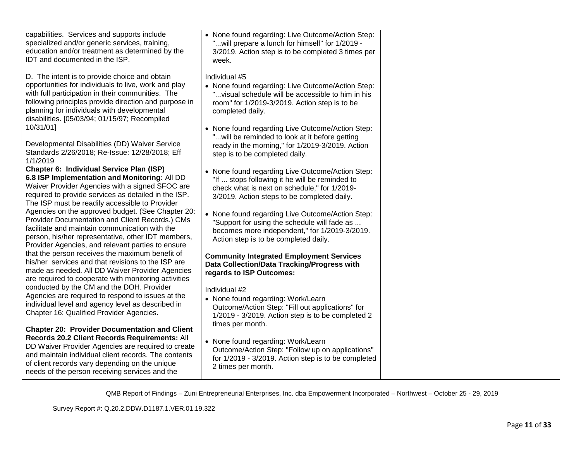| capabilities. Services and supports include<br>specialized and/or generic services, training,<br>education and/or treatment as determined by the<br>IDT and documented in the ISP.                                                                                                                                      | • None found regarding: Live Outcome/Action Step:<br>" will prepare a lunch for himself" for 1/2019 -<br>3/2019. Action step is to be completed 3 times per<br>week.                              |  |
|-------------------------------------------------------------------------------------------------------------------------------------------------------------------------------------------------------------------------------------------------------------------------------------------------------------------------|---------------------------------------------------------------------------------------------------------------------------------------------------------------------------------------------------|--|
| D. The intent is to provide choice and obtain<br>opportunities for individuals to live, work and play<br>with full participation in their communities. The<br>following principles provide direction and purpose in<br>planning for individuals with developmental<br>disabilities. [05/03/94; 01/15/97; Recompiled     | Individual #5<br>• None found regarding: Live Outcome/Action Step:<br>" visual schedule will be accessible to him in his<br>room" for 1/2019-3/2019. Action step is to be<br>completed daily.     |  |
| 10/31/01]<br>Developmental Disabilities (DD) Waiver Service<br>Standards 2/26/2018; Re-Issue: 12/28/2018; Eff<br>1/1/2019                                                                                                                                                                                               | • None found regarding Live Outcome/Action Step:<br>" will be reminded to look at it before getting<br>ready in the morning," for 1/2019-3/2019. Action<br>step is to be completed daily.         |  |
| Chapter 6: Individual Service Plan (ISP)<br>6.8 ISP Implementation and Monitoring: All DD<br>Waiver Provider Agencies with a signed SFOC are<br>required to provide services as detailed in the ISP.<br>The ISP must be readily accessible to Provider                                                                  | • None found regarding Live Outcome/Action Step:<br>"If  stops following it he will be reminded to<br>check what is next on schedule," for 1/2019-<br>3/2019. Action steps to be completed daily. |  |
| Agencies on the approved budget. (See Chapter 20:<br>Provider Documentation and Client Records.) CMs<br>facilitate and maintain communication with the<br>person, his/her representative, other IDT members,<br>Provider Agencies, and relevant parties to ensure                                                       | • None found regarding Live Outcome/Action Step:<br>"Support for using the schedule will fade as<br>becomes more independent," for 1/2019-3/2019.<br>Action step is to be completed daily.        |  |
| that the person receives the maximum benefit of<br>his/her services and that revisions to the ISP are<br>made as needed. All DD Waiver Provider Agencies<br>are required to cooperate with monitoring activities                                                                                                        | <b>Community Integrated Employment Services</b><br>Data Collection/Data Tracking/Progress with<br>regards to ISP Outcomes:                                                                        |  |
| conducted by the CM and the DOH. Provider<br>Agencies are required to respond to issues at the<br>individual level and agency level as described in<br>Chapter 16: Qualified Provider Agencies.                                                                                                                         | Individual #2<br>• None found regarding: Work/Learn<br>Outcome/Action Step: "Fill out applications" for<br>1/2019 - 3/2019. Action step is to be completed 2                                      |  |
| <b>Chapter 20: Provider Documentation and Client</b><br>Records 20.2 Client Records Requirements: All<br>DD Waiver Provider Agencies are required to create<br>and maintain individual client records. The contents<br>of client records vary depending on the unique<br>needs of the person receiving services and the | times per month.<br>• None found regarding: Work/Learn<br>Outcome/Action Step: "Follow up on applications"<br>for 1/2019 - 3/2019. Action step is to be completed<br>2 times per month.           |  |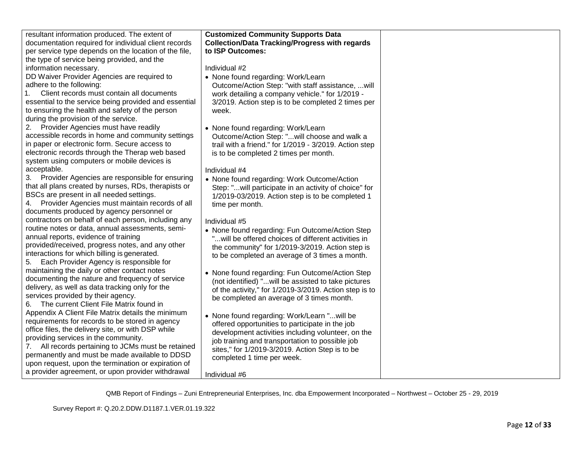| resultant information produced. The extent of         | <b>Customized Community Supports Data</b>              |  |
|-------------------------------------------------------|--------------------------------------------------------|--|
| documentation required for individual client records  | <b>Collection/Data Tracking/Progress with regards</b>  |  |
| per service type depends on the location of the file, | to ISP Outcomes:                                       |  |
| the type of service being provided, and the           |                                                        |  |
| information necessary.                                | Individual #2                                          |  |
| DD Waiver Provider Agencies are required to           |                                                        |  |
| adhere to the following:                              | • None found regarding: Work/Learn                     |  |
| Client records must contain all documents             | Outcome/Action Step: "with staff assistance, will      |  |
| 1.                                                    | work detailing a company vehicle." for 1/2019 -        |  |
| essential to the service being provided and essential | 3/2019. Action step is to be completed 2 times per     |  |
| to ensuring the health and safety of the person       | week.                                                  |  |
| during the provision of the service.                  |                                                        |  |
| 2. Provider Agencies must have readily                | • None found regarding: Work/Learn                     |  |
| accessible records in home and community settings     | Outcome/Action Step: "will choose and walk a           |  |
| in paper or electronic form. Secure access to         | trail with a friend." for 1/2019 - 3/2019. Action step |  |
| electronic records through the Therap web based       | is to be completed 2 times per month.                  |  |
| system using computers or mobile devices is           |                                                        |  |
| acceptable.                                           | Individual #4                                          |  |
| 3. Provider Agencies are responsible for ensuring     | • None found regarding: Work Outcome/Action            |  |
| that all plans created by nurses, RDs, therapists or  | Step: "will participate in an activity of choice" for  |  |
| BSCs are present in all needed settings.              | 1/2019-03/2019. Action step is to be completed 1       |  |
| 4. Provider Agencies must maintain records of all     | time per month.                                        |  |
| documents produced by agency personnel or             |                                                        |  |
| contractors on behalf of each person, including any   | Individual #5                                          |  |
| routine notes or data, annual assessments, semi-      | • None found regarding: Fun Outcome/Action Step        |  |
| annual reports, evidence of training                  | " will be offered choices of different activities in   |  |
| provided/received, progress notes, and any other      | the community" for 1/2019-3/2019. Action step is       |  |
| interactions for which billing is generated.          | to be completed an average of 3 times a month.         |  |
| 5. Each Provider Agency is responsible for            |                                                        |  |
| maintaining the daily or other contact notes          | • None found regarding: Fun Outcome/Action Step        |  |
| documenting the nature and frequency of service       | (not identified) "will be assisted to take pictures    |  |
| delivery, as well as data tracking only for the       | of the activity," for 1/2019-3/2019. Action step is to |  |
| services provided by their agency.                    | be completed an average of 3 times month.              |  |
| 6. The current Client File Matrix found in            |                                                        |  |
| Appendix A Client File Matrix details the minimum     | • None found regarding: Work/Learn "will be            |  |
| requirements for records to be stored in agency       | offered opportunities to participate in the job        |  |
| office files, the delivery site, or with DSP while    | development activities including volunteer, on the     |  |
| providing services in the community.                  | job training and transportation to possible job        |  |
| 7. All records pertaining to JCMs must be retained    | sites," for 1/2019-3/2019. Action Step is to be        |  |
| permanently and must be made available to DDSD        | completed 1 time per week.                             |  |
| upon request, upon the termination or expiration of   |                                                        |  |
| a provider agreement, or upon provider withdrawal     | Individual #6                                          |  |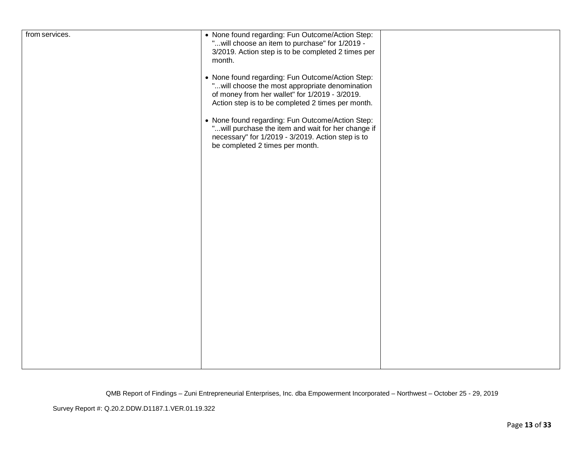| from services. | • None found regarding: Fun Outcome/Action Step:    |  |
|----------------|-----------------------------------------------------|--|
|                | " will choose an item to purchase" for 1/2019 -     |  |
|                |                                                     |  |
|                | 3/2019. Action step is to be completed 2 times per  |  |
|                | month.                                              |  |
|                |                                                     |  |
|                | • None found regarding: Fun Outcome/Action Step:    |  |
|                | " will choose the most appropriate denomination     |  |
|                | of money from her wallet" for 1/2019 - 3/2019.      |  |
|                |                                                     |  |
|                | Action step is to be completed 2 times per month.   |  |
|                |                                                     |  |
|                | • None found regarding: Fun Outcome/Action Step:    |  |
|                | " will purchase the item and wait for her change if |  |
|                | necessary" for 1/2019 - 3/2019. Action step is to   |  |
|                |                                                     |  |
|                | be completed 2 times per month.                     |  |
|                |                                                     |  |
|                |                                                     |  |
|                |                                                     |  |
|                |                                                     |  |
|                |                                                     |  |
|                |                                                     |  |
|                |                                                     |  |
|                |                                                     |  |
|                |                                                     |  |
|                |                                                     |  |
|                |                                                     |  |
|                |                                                     |  |
|                |                                                     |  |
|                |                                                     |  |
|                |                                                     |  |
|                |                                                     |  |
|                |                                                     |  |
|                |                                                     |  |
|                |                                                     |  |
|                |                                                     |  |
|                |                                                     |  |
|                |                                                     |  |
|                |                                                     |  |
|                |                                                     |  |
|                |                                                     |  |
|                |                                                     |  |
|                |                                                     |  |
|                |                                                     |  |
|                |                                                     |  |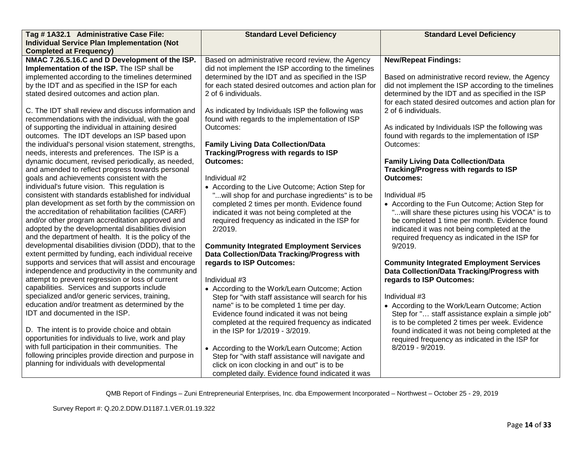| Tag # 1A32.1 Administrative Case File:                                                                                                                                                                                                                                                                                                                                                                                                                                                                                                                                                                                                                                                                                                                                                                                                                                                                                                                                                                                                                                                                                                                                                                                                    | <b>Standard Level Deficiency</b>                                                                                                                                                                                                                                                                                                                                                                                                                                                                                                                                                                                                                                                                                                                                                                                                                                                                                                   | <b>Standard Level Deficiency</b>                                                                                                                                                                                                                                                                                                                                                                                                                                                                                                                                                                                                                                                                                                                                                |
|-------------------------------------------------------------------------------------------------------------------------------------------------------------------------------------------------------------------------------------------------------------------------------------------------------------------------------------------------------------------------------------------------------------------------------------------------------------------------------------------------------------------------------------------------------------------------------------------------------------------------------------------------------------------------------------------------------------------------------------------------------------------------------------------------------------------------------------------------------------------------------------------------------------------------------------------------------------------------------------------------------------------------------------------------------------------------------------------------------------------------------------------------------------------------------------------------------------------------------------------|------------------------------------------------------------------------------------------------------------------------------------------------------------------------------------------------------------------------------------------------------------------------------------------------------------------------------------------------------------------------------------------------------------------------------------------------------------------------------------------------------------------------------------------------------------------------------------------------------------------------------------------------------------------------------------------------------------------------------------------------------------------------------------------------------------------------------------------------------------------------------------------------------------------------------------|---------------------------------------------------------------------------------------------------------------------------------------------------------------------------------------------------------------------------------------------------------------------------------------------------------------------------------------------------------------------------------------------------------------------------------------------------------------------------------------------------------------------------------------------------------------------------------------------------------------------------------------------------------------------------------------------------------------------------------------------------------------------------------|
| <b>Individual Service Plan Implementation (Not</b>                                                                                                                                                                                                                                                                                                                                                                                                                                                                                                                                                                                                                                                                                                                                                                                                                                                                                                                                                                                                                                                                                                                                                                                        |                                                                                                                                                                                                                                                                                                                                                                                                                                                                                                                                                                                                                                                                                                                                                                                                                                                                                                                                    |                                                                                                                                                                                                                                                                                                                                                                                                                                                                                                                                                                                                                                                                                                                                                                                 |
| <b>Completed at Frequency)</b>                                                                                                                                                                                                                                                                                                                                                                                                                                                                                                                                                                                                                                                                                                                                                                                                                                                                                                                                                                                                                                                                                                                                                                                                            |                                                                                                                                                                                                                                                                                                                                                                                                                                                                                                                                                                                                                                                                                                                                                                                                                                                                                                                                    |                                                                                                                                                                                                                                                                                                                                                                                                                                                                                                                                                                                                                                                                                                                                                                                 |
| NMAC 7.26.5.16.C and D Development of the ISP.                                                                                                                                                                                                                                                                                                                                                                                                                                                                                                                                                                                                                                                                                                                                                                                                                                                                                                                                                                                                                                                                                                                                                                                            | Based on administrative record review, the Agency                                                                                                                                                                                                                                                                                                                                                                                                                                                                                                                                                                                                                                                                                                                                                                                                                                                                                  | <b>New/Repeat Findings:</b>                                                                                                                                                                                                                                                                                                                                                                                                                                                                                                                                                                                                                                                                                                                                                     |
| Implementation of the ISP. The ISP shall be                                                                                                                                                                                                                                                                                                                                                                                                                                                                                                                                                                                                                                                                                                                                                                                                                                                                                                                                                                                                                                                                                                                                                                                               | did not implement the ISP according to the timelines                                                                                                                                                                                                                                                                                                                                                                                                                                                                                                                                                                                                                                                                                                                                                                                                                                                                               |                                                                                                                                                                                                                                                                                                                                                                                                                                                                                                                                                                                                                                                                                                                                                                                 |
| implemented according to the timelines determined                                                                                                                                                                                                                                                                                                                                                                                                                                                                                                                                                                                                                                                                                                                                                                                                                                                                                                                                                                                                                                                                                                                                                                                         | determined by the IDT and as specified in the ISP                                                                                                                                                                                                                                                                                                                                                                                                                                                                                                                                                                                                                                                                                                                                                                                                                                                                                  | Based on administrative record review, the Agency                                                                                                                                                                                                                                                                                                                                                                                                                                                                                                                                                                                                                                                                                                                               |
| by the IDT and as specified in the ISP for each                                                                                                                                                                                                                                                                                                                                                                                                                                                                                                                                                                                                                                                                                                                                                                                                                                                                                                                                                                                                                                                                                                                                                                                           | for each stated desired outcomes and action plan for                                                                                                                                                                                                                                                                                                                                                                                                                                                                                                                                                                                                                                                                                                                                                                                                                                                                               | did not implement the ISP according to the timelines                                                                                                                                                                                                                                                                                                                                                                                                                                                                                                                                                                                                                                                                                                                            |
| stated desired outcomes and action plan.                                                                                                                                                                                                                                                                                                                                                                                                                                                                                                                                                                                                                                                                                                                                                                                                                                                                                                                                                                                                                                                                                                                                                                                                  | 2 of 6 individuals.                                                                                                                                                                                                                                                                                                                                                                                                                                                                                                                                                                                                                                                                                                                                                                                                                                                                                                                | determined by the IDT and as specified in the ISP                                                                                                                                                                                                                                                                                                                                                                                                                                                                                                                                                                                                                                                                                                                               |
|                                                                                                                                                                                                                                                                                                                                                                                                                                                                                                                                                                                                                                                                                                                                                                                                                                                                                                                                                                                                                                                                                                                                                                                                                                           |                                                                                                                                                                                                                                                                                                                                                                                                                                                                                                                                                                                                                                                                                                                                                                                                                                                                                                                                    | for each stated desired outcomes and action plan for                                                                                                                                                                                                                                                                                                                                                                                                                                                                                                                                                                                                                                                                                                                            |
| C. The IDT shall review and discuss information and                                                                                                                                                                                                                                                                                                                                                                                                                                                                                                                                                                                                                                                                                                                                                                                                                                                                                                                                                                                                                                                                                                                                                                                       | As indicated by Individuals ISP the following was                                                                                                                                                                                                                                                                                                                                                                                                                                                                                                                                                                                                                                                                                                                                                                                                                                                                                  | 2 of 6 individuals.                                                                                                                                                                                                                                                                                                                                                                                                                                                                                                                                                                                                                                                                                                                                                             |
| recommendations with the individual, with the goal                                                                                                                                                                                                                                                                                                                                                                                                                                                                                                                                                                                                                                                                                                                                                                                                                                                                                                                                                                                                                                                                                                                                                                                        | found with regards to the implementation of ISP                                                                                                                                                                                                                                                                                                                                                                                                                                                                                                                                                                                                                                                                                                                                                                                                                                                                                    |                                                                                                                                                                                                                                                                                                                                                                                                                                                                                                                                                                                                                                                                                                                                                                                 |
| of supporting the individual in attaining desired                                                                                                                                                                                                                                                                                                                                                                                                                                                                                                                                                                                                                                                                                                                                                                                                                                                                                                                                                                                                                                                                                                                                                                                         | Outcomes:                                                                                                                                                                                                                                                                                                                                                                                                                                                                                                                                                                                                                                                                                                                                                                                                                                                                                                                          | As indicated by Individuals ISP the following was                                                                                                                                                                                                                                                                                                                                                                                                                                                                                                                                                                                                                                                                                                                               |
| outcomes. The IDT develops an ISP based upon                                                                                                                                                                                                                                                                                                                                                                                                                                                                                                                                                                                                                                                                                                                                                                                                                                                                                                                                                                                                                                                                                                                                                                                              |                                                                                                                                                                                                                                                                                                                                                                                                                                                                                                                                                                                                                                                                                                                                                                                                                                                                                                                                    | found with regards to the implementation of ISP                                                                                                                                                                                                                                                                                                                                                                                                                                                                                                                                                                                                                                                                                                                                 |
| the individual's personal vision statement, strengths,                                                                                                                                                                                                                                                                                                                                                                                                                                                                                                                                                                                                                                                                                                                                                                                                                                                                                                                                                                                                                                                                                                                                                                                    | <b>Family Living Data Collection/Data</b>                                                                                                                                                                                                                                                                                                                                                                                                                                                                                                                                                                                                                                                                                                                                                                                                                                                                                          | Outcomes:                                                                                                                                                                                                                                                                                                                                                                                                                                                                                                                                                                                                                                                                                                                                                                       |
| needs, interests and preferences. The ISP is a                                                                                                                                                                                                                                                                                                                                                                                                                                                                                                                                                                                                                                                                                                                                                                                                                                                                                                                                                                                                                                                                                                                                                                                            | Tracking/Progress with regards to ISP                                                                                                                                                                                                                                                                                                                                                                                                                                                                                                                                                                                                                                                                                                                                                                                                                                                                                              |                                                                                                                                                                                                                                                                                                                                                                                                                                                                                                                                                                                                                                                                                                                                                                                 |
| dynamic document, revised periodically, as needed,                                                                                                                                                                                                                                                                                                                                                                                                                                                                                                                                                                                                                                                                                                                                                                                                                                                                                                                                                                                                                                                                                                                                                                                        | <b>Outcomes:</b>                                                                                                                                                                                                                                                                                                                                                                                                                                                                                                                                                                                                                                                                                                                                                                                                                                                                                                                   | <b>Family Living Data Collection/Data</b>                                                                                                                                                                                                                                                                                                                                                                                                                                                                                                                                                                                                                                                                                                                                       |
|                                                                                                                                                                                                                                                                                                                                                                                                                                                                                                                                                                                                                                                                                                                                                                                                                                                                                                                                                                                                                                                                                                                                                                                                                                           |                                                                                                                                                                                                                                                                                                                                                                                                                                                                                                                                                                                                                                                                                                                                                                                                                                                                                                                                    |                                                                                                                                                                                                                                                                                                                                                                                                                                                                                                                                                                                                                                                                                                                                                                                 |
|                                                                                                                                                                                                                                                                                                                                                                                                                                                                                                                                                                                                                                                                                                                                                                                                                                                                                                                                                                                                                                                                                                                                                                                                                                           |                                                                                                                                                                                                                                                                                                                                                                                                                                                                                                                                                                                                                                                                                                                                                                                                                                                                                                                                    |                                                                                                                                                                                                                                                                                                                                                                                                                                                                                                                                                                                                                                                                                                                                                                                 |
|                                                                                                                                                                                                                                                                                                                                                                                                                                                                                                                                                                                                                                                                                                                                                                                                                                                                                                                                                                                                                                                                                                                                                                                                                                           |                                                                                                                                                                                                                                                                                                                                                                                                                                                                                                                                                                                                                                                                                                                                                                                                                                                                                                                                    |                                                                                                                                                                                                                                                                                                                                                                                                                                                                                                                                                                                                                                                                                                                                                                                 |
|                                                                                                                                                                                                                                                                                                                                                                                                                                                                                                                                                                                                                                                                                                                                                                                                                                                                                                                                                                                                                                                                                                                                                                                                                                           |                                                                                                                                                                                                                                                                                                                                                                                                                                                                                                                                                                                                                                                                                                                                                                                                                                                                                                                                    |                                                                                                                                                                                                                                                                                                                                                                                                                                                                                                                                                                                                                                                                                                                                                                                 |
|                                                                                                                                                                                                                                                                                                                                                                                                                                                                                                                                                                                                                                                                                                                                                                                                                                                                                                                                                                                                                                                                                                                                                                                                                                           |                                                                                                                                                                                                                                                                                                                                                                                                                                                                                                                                                                                                                                                                                                                                                                                                                                                                                                                                    |                                                                                                                                                                                                                                                                                                                                                                                                                                                                                                                                                                                                                                                                                                                                                                                 |
|                                                                                                                                                                                                                                                                                                                                                                                                                                                                                                                                                                                                                                                                                                                                                                                                                                                                                                                                                                                                                                                                                                                                                                                                                                           |                                                                                                                                                                                                                                                                                                                                                                                                                                                                                                                                                                                                                                                                                                                                                                                                                                                                                                                                    |                                                                                                                                                                                                                                                                                                                                                                                                                                                                                                                                                                                                                                                                                                                                                                                 |
|                                                                                                                                                                                                                                                                                                                                                                                                                                                                                                                                                                                                                                                                                                                                                                                                                                                                                                                                                                                                                                                                                                                                                                                                                                           |                                                                                                                                                                                                                                                                                                                                                                                                                                                                                                                                                                                                                                                                                                                                                                                                                                                                                                                                    |                                                                                                                                                                                                                                                                                                                                                                                                                                                                                                                                                                                                                                                                                                                                                                                 |
|                                                                                                                                                                                                                                                                                                                                                                                                                                                                                                                                                                                                                                                                                                                                                                                                                                                                                                                                                                                                                                                                                                                                                                                                                                           |                                                                                                                                                                                                                                                                                                                                                                                                                                                                                                                                                                                                                                                                                                                                                                                                                                                                                                                                    |                                                                                                                                                                                                                                                                                                                                                                                                                                                                                                                                                                                                                                                                                                                                                                                 |
|                                                                                                                                                                                                                                                                                                                                                                                                                                                                                                                                                                                                                                                                                                                                                                                                                                                                                                                                                                                                                                                                                                                                                                                                                                           |                                                                                                                                                                                                                                                                                                                                                                                                                                                                                                                                                                                                                                                                                                                                                                                                                                                                                                                                    |                                                                                                                                                                                                                                                                                                                                                                                                                                                                                                                                                                                                                                                                                                                                                                                 |
|                                                                                                                                                                                                                                                                                                                                                                                                                                                                                                                                                                                                                                                                                                                                                                                                                                                                                                                                                                                                                                                                                                                                                                                                                                           |                                                                                                                                                                                                                                                                                                                                                                                                                                                                                                                                                                                                                                                                                                                                                                                                                                                                                                                                    |                                                                                                                                                                                                                                                                                                                                                                                                                                                                                                                                                                                                                                                                                                                                                                                 |
|                                                                                                                                                                                                                                                                                                                                                                                                                                                                                                                                                                                                                                                                                                                                                                                                                                                                                                                                                                                                                                                                                                                                                                                                                                           |                                                                                                                                                                                                                                                                                                                                                                                                                                                                                                                                                                                                                                                                                                                                                                                                                                                                                                                                    |                                                                                                                                                                                                                                                                                                                                                                                                                                                                                                                                                                                                                                                                                                                                                                                 |
|                                                                                                                                                                                                                                                                                                                                                                                                                                                                                                                                                                                                                                                                                                                                                                                                                                                                                                                                                                                                                                                                                                                                                                                                                                           |                                                                                                                                                                                                                                                                                                                                                                                                                                                                                                                                                                                                                                                                                                                                                                                                                                                                                                                                    |                                                                                                                                                                                                                                                                                                                                                                                                                                                                                                                                                                                                                                                                                                                                                                                 |
|                                                                                                                                                                                                                                                                                                                                                                                                                                                                                                                                                                                                                                                                                                                                                                                                                                                                                                                                                                                                                                                                                                                                                                                                                                           |                                                                                                                                                                                                                                                                                                                                                                                                                                                                                                                                                                                                                                                                                                                                                                                                                                                                                                                                    |                                                                                                                                                                                                                                                                                                                                                                                                                                                                                                                                                                                                                                                                                                                                                                                 |
|                                                                                                                                                                                                                                                                                                                                                                                                                                                                                                                                                                                                                                                                                                                                                                                                                                                                                                                                                                                                                                                                                                                                                                                                                                           |                                                                                                                                                                                                                                                                                                                                                                                                                                                                                                                                                                                                                                                                                                                                                                                                                                                                                                                                    |                                                                                                                                                                                                                                                                                                                                                                                                                                                                                                                                                                                                                                                                                                                                                                                 |
|                                                                                                                                                                                                                                                                                                                                                                                                                                                                                                                                                                                                                                                                                                                                                                                                                                                                                                                                                                                                                                                                                                                                                                                                                                           |                                                                                                                                                                                                                                                                                                                                                                                                                                                                                                                                                                                                                                                                                                                                                                                                                                                                                                                                    |                                                                                                                                                                                                                                                                                                                                                                                                                                                                                                                                                                                                                                                                                                                                                                                 |
|                                                                                                                                                                                                                                                                                                                                                                                                                                                                                                                                                                                                                                                                                                                                                                                                                                                                                                                                                                                                                                                                                                                                                                                                                                           |                                                                                                                                                                                                                                                                                                                                                                                                                                                                                                                                                                                                                                                                                                                                                                                                                                                                                                                                    |                                                                                                                                                                                                                                                                                                                                                                                                                                                                                                                                                                                                                                                                                                                                                                                 |
|                                                                                                                                                                                                                                                                                                                                                                                                                                                                                                                                                                                                                                                                                                                                                                                                                                                                                                                                                                                                                                                                                                                                                                                                                                           |                                                                                                                                                                                                                                                                                                                                                                                                                                                                                                                                                                                                                                                                                                                                                                                                                                                                                                                                    |                                                                                                                                                                                                                                                                                                                                                                                                                                                                                                                                                                                                                                                                                                                                                                                 |
|                                                                                                                                                                                                                                                                                                                                                                                                                                                                                                                                                                                                                                                                                                                                                                                                                                                                                                                                                                                                                                                                                                                                                                                                                                           |                                                                                                                                                                                                                                                                                                                                                                                                                                                                                                                                                                                                                                                                                                                                                                                                                                                                                                                                    |                                                                                                                                                                                                                                                                                                                                                                                                                                                                                                                                                                                                                                                                                                                                                                                 |
|                                                                                                                                                                                                                                                                                                                                                                                                                                                                                                                                                                                                                                                                                                                                                                                                                                                                                                                                                                                                                                                                                                                                                                                                                                           |                                                                                                                                                                                                                                                                                                                                                                                                                                                                                                                                                                                                                                                                                                                                                                                                                                                                                                                                    |                                                                                                                                                                                                                                                                                                                                                                                                                                                                                                                                                                                                                                                                                                                                                                                 |
|                                                                                                                                                                                                                                                                                                                                                                                                                                                                                                                                                                                                                                                                                                                                                                                                                                                                                                                                                                                                                                                                                                                                                                                                                                           |                                                                                                                                                                                                                                                                                                                                                                                                                                                                                                                                                                                                                                                                                                                                                                                                                                                                                                                                    |                                                                                                                                                                                                                                                                                                                                                                                                                                                                                                                                                                                                                                                                                                                                                                                 |
|                                                                                                                                                                                                                                                                                                                                                                                                                                                                                                                                                                                                                                                                                                                                                                                                                                                                                                                                                                                                                                                                                                                                                                                                                                           |                                                                                                                                                                                                                                                                                                                                                                                                                                                                                                                                                                                                                                                                                                                                                                                                                                                                                                                                    |                                                                                                                                                                                                                                                                                                                                                                                                                                                                                                                                                                                                                                                                                                                                                                                 |
|                                                                                                                                                                                                                                                                                                                                                                                                                                                                                                                                                                                                                                                                                                                                                                                                                                                                                                                                                                                                                                                                                                                                                                                                                                           |                                                                                                                                                                                                                                                                                                                                                                                                                                                                                                                                                                                                                                                                                                                                                                                                                                                                                                                                    |                                                                                                                                                                                                                                                                                                                                                                                                                                                                                                                                                                                                                                                                                                                                                                                 |
|                                                                                                                                                                                                                                                                                                                                                                                                                                                                                                                                                                                                                                                                                                                                                                                                                                                                                                                                                                                                                                                                                                                                                                                                                                           |                                                                                                                                                                                                                                                                                                                                                                                                                                                                                                                                                                                                                                                                                                                                                                                                                                                                                                                                    |                                                                                                                                                                                                                                                                                                                                                                                                                                                                                                                                                                                                                                                                                                                                                                                 |
|                                                                                                                                                                                                                                                                                                                                                                                                                                                                                                                                                                                                                                                                                                                                                                                                                                                                                                                                                                                                                                                                                                                                                                                                                                           |                                                                                                                                                                                                                                                                                                                                                                                                                                                                                                                                                                                                                                                                                                                                                                                                                                                                                                                                    |                                                                                                                                                                                                                                                                                                                                                                                                                                                                                                                                                                                                                                                                                                                                                                                 |
| and amended to reflect progress towards personal<br>goals and achievements consistent with the<br>individual's future vision. This regulation is<br>consistent with standards established for individual<br>plan development as set forth by the commission on<br>the accreditation of rehabilitation facilities (CARF)<br>and/or other program accreditation approved and<br>adopted by the developmental disabilities division<br>and the department of health. It is the policy of the<br>developmental disabilities division (DDD), that to the<br>extent permitted by funding, each individual receive<br>supports and services that will assist and encourage<br>independence and productivity in the community and<br>attempt to prevent regression or loss of current<br>capabilities. Services and supports include<br>specialized and/or generic services, training,<br>education and/or treatment as determined by the<br>IDT and documented in the ISP.<br>D. The intent is to provide choice and obtain<br>opportunities for individuals to live, work and play<br>with full participation in their communities. The<br>following principles provide direction and purpose in<br>planning for individuals with developmental | Individual #2<br>• According to the Live Outcome; Action Step for<br>" will shop for and purchase ingredients" is to be<br>completed 2 times per month. Evidence found<br>indicated it was not being completed at the<br>required frequency as indicated in the ISP for<br>2/2019.<br><b>Community Integrated Employment Services</b><br>Data Collection/Data Tracking/Progress with<br>regards to ISP Outcomes:<br>Individual #3<br>• According to the Work/Learn Outcome; Action<br>Step for "with staff assistance will search for his<br>name" is to be completed 1 time per day.<br>Evidence found indicated it was not being<br>completed at the required frequency as indicated<br>in the ISP for 1/2019 - 3/2019.<br>• According to the Work/Learn Outcome; Action<br>Step for "with staff assistance will navigate and<br>click on icon clocking in and out" is to be<br>completed daily. Evidence found indicated it was | Tracking/Progress with regards to ISP<br><b>Outcomes:</b><br>Individual #5<br>• According to the Fun Outcome; Action Step for<br>"will share these pictures using his VOCA" is to<br>be completed 1 time per month. Evidence found<br>indicated it was not being completed at the<br>required frequency as indicated in the ISP for<br>9/2019.<br><b>Community Integrated Employment Services</b><br>Data Collection/Data Tracking/Progress with<br>regards to ISP Outcomes:<br>Individual #3<br>• According to the Work/Learn Outcome; Action<br>Step for " staff assistance explain a simple job"<br>is to be completed 2 times per week. Evidence<br>found indicated it was not being completed at the<br>required frequency as indicated in the ISP for<br>8/2019 - 9/2019. |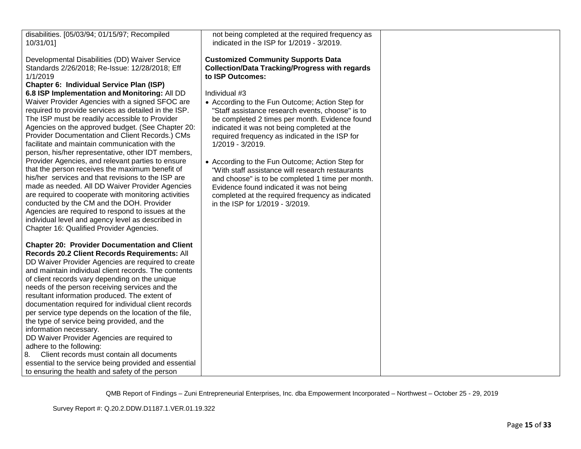| disabilities. [05/03/94; 01/15/97; Recompiled<br>10/31/01]                                                                                                                                                                                                                                                                                                                                                                                                                                                                                                                                                                                                                                                                                                                                                                                                                                                                                                                                                                                                         | not being completed at the required frequency as<br>indicated in the ISP for 1/2019 - 3/2019.                                                                                                                                                                                                                                                                                                                                                                                                                                                                                                                                                                                                                        |  |
|--------------------------------------------------------------------------------------------------------------------------------------------------------------------------------------------------------------------------------------------------------------------------------------------------------------------------------------------------------------------------------------------------------------------------------------------------------------------------------------------------------------------------------------------------------------------------------------------------------------------------------------------------------------------------------------------------------------------------------------------------------------------------------------------------------------------------------------------------------------------------------------------------------------------------------------------------------------------------------------------------------------------------------------------------------------------|----------------------------------------------------------------------------------------------------------------------------------------------------------------------------------------------------------------------------------------------------------------------------------------------------------------------------------------------------------------------------------------------------------------------------------------------------------------------------------------------------------------------------------------------------------------------------------------------------------------------------------------------------------------------------------------------------------------------|--|
| Developmental Disabilities (DD) Waiver Service<br>Standards 2/26/2018; Re-Issue: 12/28/2018; Eff<br>1/1/2019<br>Chapter 6: Individual Service Plan (ISP)<br>6.8 ISP Implementation and Monitoring: All DD<br>Waiver Provider Agencies with a signed SFOC are<br>required to provide services as detailed in the ISP.<br>The ISP must be readily accessible to Provider<br>Agencies on the approved budget. (See Chapter 20:<br>Provider Documentation and Client Records.) CMs<br>facilitate and maintain communication with the<br>person, his/her representative, other IDT members,<br>Provider Agencies, and relevant parties to ensure<br>that the person receives the maximum benefit of<br>his/her services and that revisions to the ISP are<br>made as needed. All DD Waiver Provider Agencies<br>are required to cooperate with monitoring activities<br>conducted by the CM and the DOH. Provider<br>Agencies are required to respond to issues at the<br>individual level and agency level as described in<br>Chapter 16: Qualified Provider Agencies. | <b>Customized Community Supports Data</b><br><b>Collection/Data Tracking/Progress with regards</b><br>to ISP Outcomes:<br>Individual #3<br>• According to the Fun Outcome; Action Step for<br>"Staff assistance research events, choose" is to<br>be completed 2 times per month. Evidence found<br>indicated it was not being completed at the<br>required frequency as indicated in the ISP for<br>1/2019 - 3/2019.<br>• According to the Fun Outcome; Action Step for<br>"With staff assistance will research restaurants<br>and choose" is to be completed 1 time per month.<br>Evidence found indicated it was not being<br>completed at the required frequency as indicated<br>in the ISP for 1/2019 - 3/2019. |  |
| <b>Chapter 20: Provider Documentation and Client</b><br>Records 20.2 Client Records Requirements: All<br>DD Waiver Provider Agencies are required to create<br>and maintain individual client records. The contents<br>of client records vary depending on the unique<br>needs of the person receiving services and the<br>resultant information produced. The extent of<br>documentation required for individual client records<br>per service type depends on the location of the file,<br>the type of service being provided, and the<br>information necessary.<br>DD Waiver Provider Agencies are required to<br>adhere to the following:<br>Client records must contain all documents<br>8.<br>essential to the service being provided and essential<br>to ensuring the health and safety of the person                                                                                                                                                                                                                                                       |                                                                                                                                                                                                                                                                                                                                                                                                                                                                                                                                                                                                                                                                                                                      |  |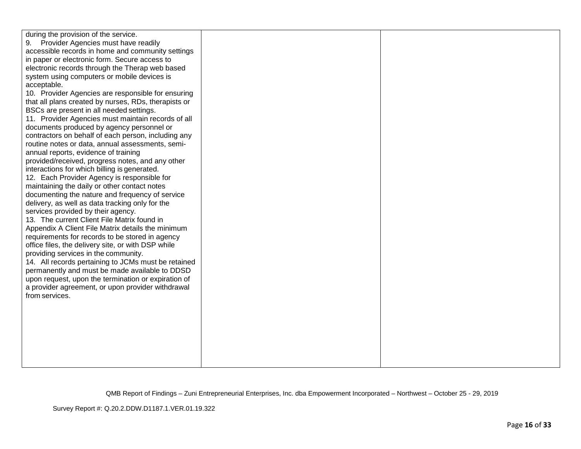| during the provision of the service.<br>Provider Agencies must have readily<br>9.<br>accessible records in home and community settings<br>in paper or electronic form. Secure access to<br>electronic records through the Therap web based<br>system using computers or mobile devices is<br>acceptable.<br>10. Provider Agencies are responsible for ensuring<br>that all plans created by nurses, RDs, therapists or<br>BSCs are present in all needed settings.<br>11. Provider Agencies must maintain records of all<br>documents produced by agency personnel or<br>contractors on behalf of each person, including any<br>routine notes or data, annual assessments, semi-<br>annual reports, evidence of training<br>provided/received, progress notes, and any other<br>interactions for which billing is generated.<br>12. Each Provider Agency is responsible for<br>maintaining the daily or other contact notes<br>documenting the nature and frequency of service<br>delivery, as well as data tracking only for the<br>services provided by their agency.<br>13. The current Client File Matrix found in<br>Appendix A Client File Matrix details the minimum<br>requirements for records to be stored in agency<br>office files, the delivery site, or with DSP while<br>providing services in the community.<br>14. All records pertaining to JCMs must be retained |  |
|-------------------------------------------------------------------------------------------------------------------------------------------------------------------------------------------------------------------------------------------------------------------------------------------------------------------------------------------------------------------------------------------------------------------------------------------------------------------------------------------------------------------------------------------------------------------------------------------------------------------------------------------------------------------------------------------------------------------------------------------------------------------------------------------------------------------------------------------------------------------------------------------------------------------------------------------------------------------------------------------------------------------------------------------------------------------------------------------------------------------------------------------------------------------------------------------------------------------------------------------------------------------------------------------------------------------------------------------------------------------------------------|--|
|                                                                                                                                                                                                                                                                                                                                                                                                                                                                                                                                                                                                                                                                                                                                                                                                                                                                                                                                                                                                                                                                                                                                                                                                                                                                                                                                                                                     |  |
|                                                                                                                                                                                                                                                                                                                                                                                                                                                                                                                                                                                                                                                                                                                                                                                                                                                                                                                                                                                                                                                                                                                                                                                                                                                                                                                                                                                     |  |
|                                                                                                                                                                                                                                                                                                                                                                                                                                                                                                                                                                                                                                                                                                                                                                                                                                                                                                                                                                                                                                                                                                                                                                                                                                                                                                                                                                                     |  |
|                                                                                                                                                                                                                                                                                                                                                                                                                                                                                                                                                                                                                                                                                                                                                                                                                                                                                                                                                                                                                                                                                                                                                                                                                                                                                                                                                                                     |  |
|                                                                                                                                                                                                                                                                                                                                                                                                                                                                                                                                                                                                                                                                                                                                                                                                                                                                                                                                                                                                                                                                                                                                                                                                                                                                                                                                                                                     |  |
|                                                                                                                                                                                                                                                                                                                                                                                                                                                                                                                                                                                                                                                                                                                                                                                                                                                                                                                                                                                                                                                                                                                                                                                                                                                                                                                                                                                     |  |
|                                                                                                                                                                                                                                                                                                                                                                                                                                                                                                                                                                                                                                                                                                                                                                                                                                                                                                                                                                                                                                                                                                                                                                                                                                                                                                                                                                                     |  |
|                                                                                                                                                                                                                                                                                                                                                                                                                                                                                                                                                                                                                                                                                                                                                                                                                                                                                                                                                                                                                                                                                                                                                                                                                                                                                                                                                                                     |  |
|                                                                                                                                                                                                                                                                                                                                                                                                                                                                                                                                                                                                                                                                                                                                                                                                                                                                                                                                                                                                                                                                                                                                                                                                                                                                                                                                                                                     |  |
|                                                                                                                                                                                                                                                                                                                                                                                                                                                                                                                                                                                                                                                                                                                                                                                                                                                                                                                                                                                                                                                                                                                                                                                                                                                                                                                                                                                     |  |
| permanently and must be made available to DDSD<br>upon request, upon the termination or expiration of                                                                                                                                                                                                                                                                                                                                                                                                                                                                                                                                                                                                                                                                                                                                                                                                                                                                                                                                                                                                                                                                                                                                                                                                                                                                               |  |
| a provider agreement, or upon provider withdrawal<br>from services.                                                                                                                                                                                                                                                                                                                                                                                                                                                                                                                                                                                                                                                                                                                                                                                                                                                                                                                                                                                                                                                                                                                                                                                                                                                                                                                 |  |
|                                                                                                                                                                                                                                                                                                                                                                                                                                                                                                                                                                                                                                                                                                                                                                                                                                                                                                                                                                                                                                                                                                                                                                                                                                                                                                                                                                                     |  |
|                                                                                                                                                                                                                                                                                                                                                                                                                                                                                                                                                                                                                                                                                                                                                                                                                                                                                                                                                                                                                                                                                                                                                                                                                                                                                                                                                                                     |  |
|                                                                                                                                                                                                                                                                                                                                                                                                                                                                                                                                                                                                                                                                                                                                                                                                                                                                                                                                                                                                                                                                                                                                                                                                                                                                                                                                                                                     |  |
|                                                                                                                                                                                                                                                                                                                                                                                                                                                                                                                                                                                                                                                                                                                                                                                                                                                                                                                                                                                                                                                                                                                                                                                                                                                                                                                                                                                     |  |
|                                                                                                                                                                                                                                                                                                                                                                                                                                                                                                                                                                                                                                                                                                                                                                                                                                                                                                                                                                                                                                                                                                                                                                                                                                                                                                                                                                                     |  |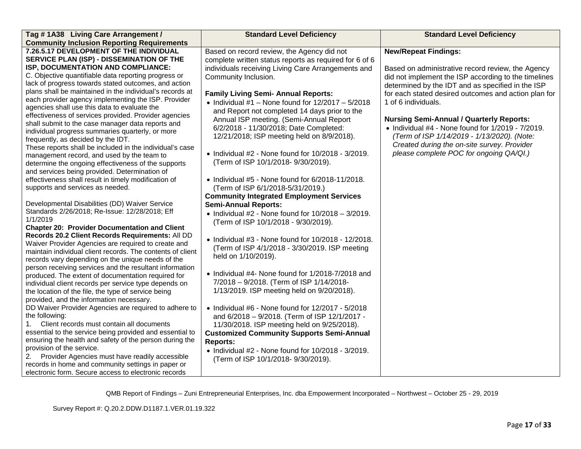| Tag #1A38 Living Care Arrangement /                                                                          | <b>Standard Level Deficiency</b>                           | <b>Standard Level Deficiency</b>                          |
|--------------------------------------------------------------------------------------------------------------|------------------------------------------------------------|-----------------------------------------------------------|
| <b>Community Inclusion Reporting Requirements</b>                                                            |                                                            |                                                           |
| 7.26.5.17 DEVELOPMENT OF THE INDIVIDUAL                                                                      | Based on record review, the Agency did not                 | <b>New/Repeat Findings:</b>                               |
| SERVICE PLAN (ISP) - DISSEMINATION OF THE                                                                    | complete written status reports as required for 6 of 6     |                                                           |
| ISP, DOCUMENTATION AND COMPLIANCE:                                                                           | individuals receiving Living Care Arrangements and         | Based on administrative record review, the Agency         |
| C. Objective quantifiable data reporting progress or                                                         | Community Inclusion.                                       | did not implement the ISP according to the timelines      |
| lack of progress towards stated outcomes, and action                                                         |                                                            | determined by the IDT and as specified in the ISP         |
| plans shall be maintained in the individual's records at                                                     | <b>Family Living Semi- Annual Reports:</b>                 | for each stated desired outcomes and action plan for      |
| each provider agency implementing the ISP. Provider                                                          | • Individual #1 - None found for $12/2017 - 5/2018$        | 1 of 6 individuals.                                       |
| agencies shall use this data to evaluate the                                                                 | and Report not completed 14 days prior to the              |                                                           |
| effectiveness of services provided. Provider agencies<br>shall submit to the case manager data reports and   | Annual ISP meeting. (Semi-Annual Report                    | <b>Nursing Semi-Annual / Quarterly Reports:</b>           |
| individual progress summaries quarterly, or more                                                             | 6/2/2018 - 11/30/2018; Date Completed:                     | $\bullet$ Individual #4 - None found for 1/2019 - 7/2019. |
| frequently, as decided by the IDT.                                                                           | 12/21/2018; ISP meeting held on 8/9/2018).                 | (Term of ISP 1/14/2019 - 1/13/2020). (Note:               |
| These reports shall be included in the individual's case                                                     |                                                            | Created during the on-site survey. Provider               |
| management record, and used by the team to                                                                   | $\bullet$ Individual #2 - None found for 10/2018 - 3/2019. | please complete POC for ongoing QA/QI.)                   |
| determine the ongoing effectiveness of the supports                                                          | (Term of ISP 10/1/2018- 9/30/2019).                        |                                                           |
| and services being provided. Determination of                                                                |                                                            |                                                           |
| effectiveness shall result in timely modification of                                                         | $\bullet$ Individual #5 - None found for 6/2018-11/2018.   |                                                           |
| supports and services as needed.                                                                             | (Term of ISP 6/1/2018-5/31/2019.)                          |                                                           |
|                                                                                                              | <b>Community Integrated Employment Services</b>            |                                                           |
| Developmental Disabilities (DD) Waiver Service                                                               | <b>Semi-Annual Reports:</b>                                |                                                           |
| Standards 2/26/2018; Re-Issue: 12/28/2018; Eff                                                               | • Individual #2 - None found for $10/2018 - 3/2019$ .      |                                                           |
| 1/1/2019                                                                                                     | (Term of ISP 10/1/2018 - 9/30/2019).                       |                                                           |
| <b>Chapter 20: Provider Documentation and Client</b>                                                         |                                                            |                                                           |
| Records 20.2 Client Records Requirements: All DD                                                             | • Individual #3 - None found for 10/2018 - 12/2018.        |                                                           |
| Waiver Provider Agencies are required to create and                                                          | (Term of ISP 4/1/2018 - 3/30/2019. ISP meeting             |                                                           |
| maintain individual client records. The contents of client                                                   | held on 1/10/2019).                                        |                                                           |
| records vary depending on the unique needs of the<br>person receiving services and the resultant information |                                                            |                                                           |
| produced. The extent of documentation required for                                                           | • Individual #4- None found for 1/2018-7/2018 and          |                                                           |
| individual client records per service type depends on                                                        | 7/2018 - 9/2018. (Term of ISP 1/14/2018-                   |                                                           |
| the location of the file, the type of service being                                                          | 1/13/2019. ISP meeting held on 9/20/2018).                 |                                                           |
| provided, and the information necessary.                                                                     |                                                            |                                                           |
| DD Waiver Provider Agencies are required to adhere to                                                        | $\bullet$ Individual #6 - None found for 12/2017 - 5/2018  |                                                           |
| the following:                                                                                               | and 6/2018 - 9/2018. (Term of ISP 12/1/2017 -              |                                                           |
| Client records must contain all documents<br>1.                                                              | 11/30/2018. ISP meeting held on 9/25/2018).                |                                                           |
| essential to the service being provided and essential to                                                     | <b>Customized Community Supports Semi-Annual</b>           |                                                           |
| ensuring the health and safety of the person during the                                                      | <b>Reports:</b>                                            |                                                           |
| provision of the service.                                                                                    | $\bullet$ Individual #2 - None found for 10/2018 - 3/2019. |                                                           |
| Provider Agencies must have readily accessible<br>2.                                                         | (Term of ISP 10/1/2018- 9/30/2019).                        |                                                           |
| records in home and community settings in paper or                                                           |                                                            |                                                           |
| electronic form. Secure access to electronic records                                                         |                                                            |                                                           |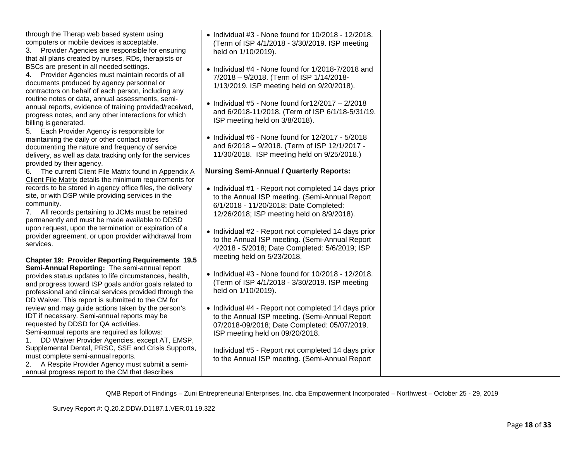| through the Therap web based system using<br>computers or mobile devices is acceptable.<br>Provider Agencies are responsible for ensuring<br>3.<br>that all plans created by nurses, RDs, therapists or                                   | • Individual #3 - None found for 10/2018 - 12/2018.<br>(Term of ISP 4/1/2018 - 3/30/2019. ISP meeting<br>held on 1/10/2019).                                                                   |  |
|-------------------------------------------------------------------------------------------------------------------------------------------------------------------------------------------------------------------------------------------|------------------------------------------------------------------------------------------------------------------------------------------------------------------------------------------------|--|
| BSCs are present in all needed settings.<br>Provider Agencies must maintain records of all<br>4.<br>documents produced by agency personnel or<br>contractors on behalf of each person, including any                                      | • Individual #4 - None found for 1/2018-7/2018 and<br>7/2018 - 9/2018. (Term of ISP 1/14/2018-<br>1/13/2019. ISP meeting held on 9/20/2018).                                                   |  |
| routine notes or data, annual assessments, semi-<br>annual reports, evidence of training provided/received,<br>progress notes, and any other interactions for which<br>billing is generated.                                              | • Individual #5 - None found for $12/2017 - 2/2018$<br>and 6/2018-11/2018. (Term of ISP 6/1/18-5/31/19.<br>ISP meeting held on 3/8/2018).                                                      |  |
| Each Provider Agency is responsible for<br>5.<br>maintaining the daily or other contact notes<br>documenting the nature and frequency of service<br>delivery, as well as data tracking only for the services<br>provided by their agency. | $\bullet$ Individual #6 - None found for 12/2017 - 5/2018<br>and 6/2018 - 9/2018. (Term of ISP 12/1/2017 -<br>11/30/2018. ISP meeting held on 9/25/2018.)                                      |  |
| 6. The current Client File Matrix found in Appendix A<br>Client File Matrix details the minimum requirements for                                                                                                                          | <b>Nursing Semi-Annual / Quarterly Reports:</b>                                                                                                                                                |  |
| records to be stored in agency office files, the delivery<br>site, or with DSP while providing services in the<br>community.<br>7. All records pertaining to JCMs must be retained<br>permanently and must be made available to DDSD      | • Individual #1 - Report not completed 14 days prior<br>to the Annual ISP meeting. (Semi-Annual Report<br>6/1/2018 - 11/20/2018; Date Completed:<br>12/26/2018; ISP meeting held on 8/9/2018). |  |
| upon request, upon the termination or expiration of a<br>provider agreement, or upon provider withdrawal from<br>services.                                                                                                                | • Individual #2 - Report not completed 14 days prior<br>to the Annual ISP meeting. (Semi-Annual Report<br>4/2018 - 5/2018; Date Completed: 5/6/2019; ISP                                       |  |
| <b>Chapter 19: Provider Reporting Requirements 19.5</b>                                                                                                                                                                                   | meeting held on 5/23/2018.                                                                                                                                                                     |  |
| Semi-Annual Reporting: The semi-annual report                                                                                                                                                                                             | • Individual #3 - None found for 10/2018 - 12/2018.                                                                                                                                            |  |
| provides status updates to life circumstances, health,                                                                                                                                                                                    | (Term of ISP 4/1/2018 - 3/30/2019. ISP meeting                                                                                                                                                 |  |
| and progress toward ISP goals and/or goals related to<br>professional and clinical services provided through the                                                                                                                          | held on 1/10/2019).                                                                                                                                                                            |  |
| DD Waiver. This report is submitted to the CM for                                                                                                                                                                                         |                                                                                                                                                                                                |  |
| review and may guide actions taken by the person's                                                                                                                                                                                        | • Individual #4 - Report not completed 14 days prior                                                                                                                                           |  |
| IDT if necessary. Semi-annual reports may be                                                                                                                                                                                              | to the Annual ISP meeting. (Semi-Annual Report                                                                                                                                                 |  |
| requested by DDSD for QA activities.<br>Semi-annual reports are required as follows:                                                                                                                                                      | 07/2018-09/2018; Date Completed: 05/07/2019.                                                                                                                                                   |  |
| DD Waiver Provider Agencies, except AT, EMSP,                                                                                                                                                                                             | ISP meeting held on 09/20/2018.                                                                                                                                                                |  |
| Supplemental Dental, PRSC, SSE and Crisis Supports,                                                                                                                                                                                       | Individual #5 - Report not completed 14 days prior                                                                                                                                             |  |
| must complete semi-annual reports.                                                                                                                                                                                                        | to the Annual ISP meeting. (Semi-Annual Report                                                                                                                                                 |  |
| 2. A Respite Provider Agency must submit a semi-                                                                                                                                                                                          |                                                                                                                                                                                                |  |
| annual progress report to the CM that describes                                                                                                                                                                                           |                                                                                                                                                                                                |  |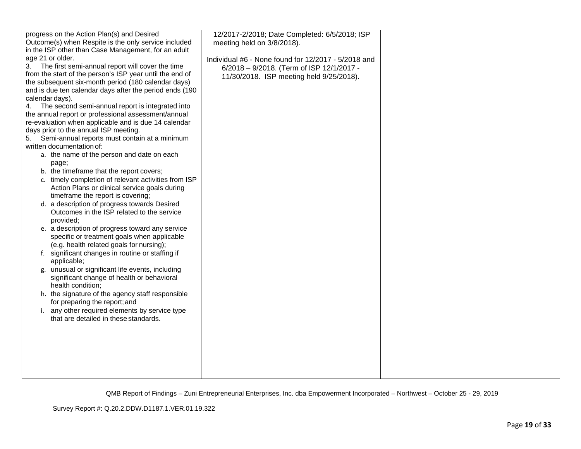| progress on the Action Plan(s) and Desired               | 12/2017-2/2018; Date Completed: 6/5/2018; ISP       |  |
|----------------------------------------------------------|-----------------------------------------------------|--|
| Outcome(s) when Respite is the only service included     | meeting held on 3/8/2018).                          |  |
| in the ISP other than Case Management, for an adult      |                                                     |  |
| age 21 or older.                                         |                                                     |  |
|                                                          | Individual #6 - None found for 12/2017 - 5/2018 and |  |
| The first semi-annual report will cover the time<br>3.   | 6/2018 - 9/2018. (Term of ISP 12/1/2017 -           |  |
| from the start of the person's ISP year until the end of | 11/30/2018. ISP meeting held 9/25/2018).            |  |
| the subsequent six-month period (180 calendar days)      |                                                     |  |
| and is due ten calendar days after the period ends (190  |                                                     |  |
| calendar days).                                          |                                                     |  |
| The second semi-annual report is integrated into<br>4.   |                                                     |  |
| the annual report or professional assessment/annual      |                                                     |  |
| re-evaluation when applicable and is due 14 calendar     |                                                     |  |
| days prior to the annual ISP meeting.                    |                                                     |  |
| Semi-annual reports must contain at a minimum<br>5.      |                                                     |  |
| written documentation of:                                |                                                     |  |
| a. the name of the person and date on each               |                                                     |  |
| page;                                                    |                                                     |  |
| b. the timeframe that the report covers;                 |                                                     |  |
| c. timely completion of relevant activities from ISP     |                                                     |  |
| Action Plans or clinical service goals during            |                                                     |  |
| timeframe the report is covering;                        |                                                     |  |
| d. a description of progress towards Desired             |                                                     |  |
| Outcomes in the ISP related to the service               |                                                     |  |
| provided;                                                |                                                     |  |
| e. a description of progress toward any service          |                                                     |  |
| specific or treatment goals when applicable              |                                                     |  |
| (e.g. health related goals for nursing);                 |                                                     |  |
| f. significant changes in routine or staffing if         |                                                     |  |
|                                                          |                                                     |  |
| applicable;                                              |                                                     |  |
| g. unusual or significant life events, including         |                                                     |  |
| significant change of health or behavioral               |                                                     |  |
| health condition;                                        |                                                     |  |
| h. the signature of the agency staff responsible         |                                                     |  |
| for preparing the report; and                            |                                                     |  |
| i. any other required elements by service type           |                                                     |  |
| that are detailed in these standards.                    |                                                     |  |
|                                                          |                                                     |  |
|                                                          |                                                     |  |
|                                                          |                                                     |  |
|                                                          |                                                     |  |
|                                                          |                                                     |  |
|                                                          |                                                     |  |
|                                                          |                                                     |  |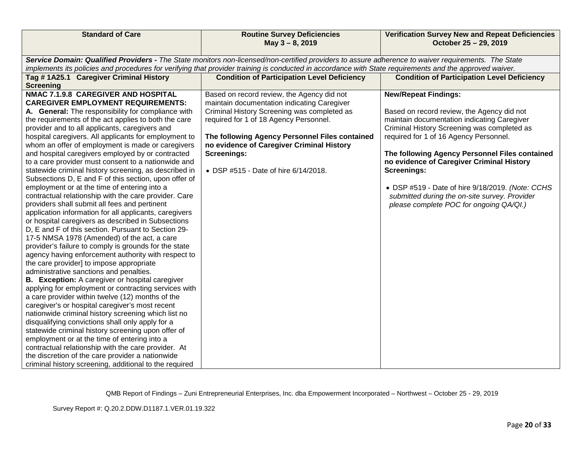| <b>Standard of Care</b>                                                                                                                                                                                                                                                                                                                                                                                                                                                                                                                                                                                                                                                                                                                                                                                                                                                                                                                                                                                                                                                                                                                                                                                                                                                                                                                                                                                                                                                                                                                                                                                                                                                                                                                                                                            | <b>Routine Survey Deficiencies</b><br>May 3-8, 2019                                                                                                                                                                                                                                                                                             | <b>Verification Survey New and Repeat Deficiencies</b><br>October 25 - 29, 2019                                                                                                                                                                                                                                                                                                                                                                                                        |
|----------------------------------------------------------------------------------------------------------------------------------------------------------------------------------------------------------------------------------------------------------------------------------------------------------------------------------------------------------------------------------------------------------------------------------------------------------------------------------------------------------------------------------------------------------------------------------------------------------------------------------------------------------------------------------------------------------------------------------------------------------------------------------------------------------------------------------------------------------------------------------------------------------------------------------------------------------------------------------------------------------------------------------------------------------------------------------------------------------------------------------------------------------------------------------------------------------------------------------------------------------------------------------------------------------------------------------------------------------------------------------------------------------------------------------------------------------------------------------------------------------------------------------------------------------------------------------------------------------------------------------------------------------------------------------------------------------------------------------------------------------------------------------------------------|-------------------------------------------------------------------------------------------------------------------------------------------------------------------------------------------------------------------------------------------------------------------------------------------------------------------------------------------------|----------------------------------------------------------------------------------------------------------------------------------------------------------------------------------------------------------------------------------------------------------------------------------------------------------------------------------------------------------------------------------------------------------------------------------------------------------------------------------------|
|                                                                                                                                                                                                                                                                                                                                                                                                                                                                                                                                                                                                                                                                                                                                                                                                                                                                                                                                                                                                                                                                                                                                                                                                                                                                                                                                                                                                                                                                                                                                                                                                                                                                                                                                                                                                    | Service Domain: Qualified Providers - The State monitors non-licensed/non-certified providers to assure adherence to waiver requirements. The State                                                                                                                                                                                             |                                                                                                                                                                                                                                                                                                                                                                                                                                                                                        |
|                                                                                                                                                                                                                                                                                                                                                                                                                                                                                                                                                                                                                                                                                                                                                                                                                                                                                                                                                                                                                                                                                                                                                                                                                                                                                                                                                                                                                                                                                                                                                                                                                                                                                                                                                                                                    | implements its policies and procedures for verifying that provider training is conducted in accordance with State requirements and the approved waiver.                                                                                                                                                                                         |                                                                                                                                                                                                                                                                                                                                                                                                                                                                                        |
| Tag #1A25.1 Caregiver Criminal History<br><b>Screening</b>                                                                                                                                                                                                                                                                                                                                                                                                                                                                                                                                                                                                                                                                                                                                                                                                                                                                                                                                                                                                                                                                                                                                                                                                                                                                                                                                                                                                                                                                                                                                                                                                                                                                                                                                         | <b>Condition of Participation Level Deficiency</b>                                                                                                                                                                                                                                                                                              | <b>Condition of Participation Level Deficiency</b>                                                                                                                                                                                                                                                                                                                                                                                                                                     |
| NMAC 7.1.9.8 CAREGIVER AND HOSPITAL<br><b>CAREGIVER EMPLOYMENT REQUIREMENTS:</b><br>A. General: The responsibility for compliance with<br>the requirements of the act applies to both the care<br>provider and to all applicants, caregivers and<br>hospital caregivers. All applicants for employment to<br>whom an offer of employment is made or caregivers<br>and hospital caregivers employed by or contracted<br>to a care provider must consent to a nationwide and<br>statewide criminal history screening, as described in<br>Subsections D, E and F of this section, upon offer of<br>employment or at the time of entering into a<br>contractual relationship with the care provider. Care<br>providers shall submit all fees and pertinent<br>application information for all applicants, caregivers<br>or hospital caregivers as described in Subsections<br>D, E and F of this section. Pursuant to Section 29-<br>17-5 NMSA 1978 (Amended) of the act, a care<br>provider's failure to comply is grounds for the state<br>agency having enforcement authority with respect to<br>the care provider] to impose appropriate<br>administrative sanctions and penalties.<br><b>B.</b> Exception: A caregiver or hospital caregiver<br>applying for employment or contracting services with<br>a care provider within twelve (12) months of the<br>caregiver's or hospital caregiver's most recent<br>nationwide criminal history screening which list no<br>disqualifying convictions shall only apply for a<br>statewide criminal history screening upon offer of<br>employment or at the time of entering into a<br>contractual relationship with the care provider. At<br>the discretion of the care provider a nationwide<br>criminal history screening, additional to the required | Based on record review, the Agency did not<br>maintain documentation indicating Caregiver<br>Criminal History Screening was completed as<br>required for 1 of 18 Agency Personnel.<br>The following Agency Personnel Files contained<br>no evidence of Caregiver Criminal History<br><b>Screenings:</b><br>• DSP #515 - Date of hire 6/14/2018. | <b>New/Repeat Findings:</b><br>Based on record review, the Agency did not<br>maintain documentation indicating Caregiver<br>Criminal History Screening was completed as<br>required for 1 of 16 Agency Personnel.<br>The following Agency Personnel Files contained<br>no evidence of Caregiver Criminal History<br><b>Screenings:</b><br>• DSP #519 - Date of hire 9/18/2019. (Note: CCHS<br>submitted during the on-site survey. Provider<br>please complete POC for ongoing QA/QI.) |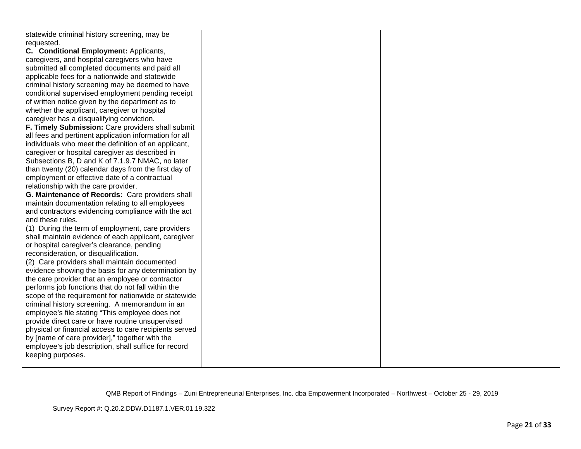| statewide criminal history screening, may be           |  |
|--------------------------------------------------------|--|
| requested.                                             |  |
| C. Conditional Employment: Applicants,                 |  |
| caregivers, and hospital caregivers who have           |  |
| submitted all completed documents and paid all         |  |
| applicable fees for a nationwide and statewide         |  |
| criminal history screening may be deemed to have       |  |
| conditional supervised employment pending receipt      |  |
| of written notice given by the department as to        |  |
| whether the applicant, caregiver or hospital           |  |
| caregiver has a disqualifying conviction.              |  |
| F. Timely Submission: Care providers shall submit      |  |
| all fees and pertinent application information for all |  |
| individuals who meet the definition of an applicant,   |  |
| caregiver or hospital caregiver as described in        |  |
| Subsections B, D and K of 7.1.9.7 NMAC, no later       |  |
| than twenty (20) calendar days from the first day of   |  |
| employment or effective date of a contractual          |  |
| relationship with the care provider.                   |  |
| G. Maintenance of Records: Care providers shall        |  |
| maintain documentation relating to all employees       |  |
| and contractors evidencing compliance with the act     |  |
| and these rules.                                       |  |
| (1) During the term of employment, care providers      |  |
| shall maintain evidence of each applicant, caregiver   |  |
| or hospital caregiver's clearance, pending             |  |
| reconsideration, or disqualification.                  |  |
| (2) Care providers shall maintain documented           |  |
| evidence showing the basis for any determination by    |  |
| the care provider that an employee or contractor       |  |
| performs job functions that do not fall within the     |  |
| scope of the requirement for nationwide or statewide   |  |
| criminal history screening. A memorandum in an         |  |
| employee's file stating "This employee does not        |  |
| provide direct care or have routine unsupervised       |  |
| physical or financial access to care recipients served |  |
| by [name of care provider]," together with the         |  |
| employee's job description, shall suffice for record   |  |
| keeping purposes.                                      |  |
|                                                        |  |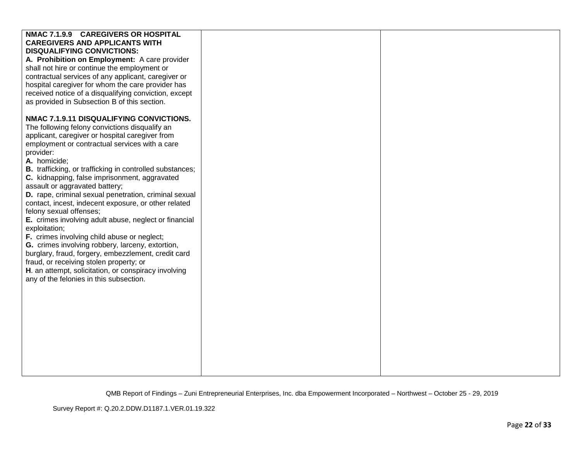| NMAC 7.1.9.9 CAREGIVERS OR HOSPITAL<br><b>CAREGIVERS AND APPLICANTS WITH</b><br><b>DISQUALIFYING CONVICTIONS:</b><br>A. Prohibition on Employment: A care provider<br>shall not hire or continue the employment or<br>contractual services of any applicant, caregiver or<br>hospital caregiver for whom the care provider has<br>received notice of a disqualifying conviction, except<br>as provided in Subsection B of this section.<br>NMAC 7.1.9.11 DISQUALIFYING CONVICTIONS.<br>The following felony convictions disqualify an<br>applicant, caregiver or hospital caregiver from<br>employment or contractual services with a care                                                                    |  |
|---------------------------------------------------------------------------------------------------------------------------------------------------------------------------------------------------------------------------------------------------------------------------------------------------------------------------------------------------------------------------------------------------------------------------------------------------------------------------------------------------------------------------------------------------------------------------------------------------------------------------------------------------------------------------------------------------------------|--|
| provider:<br>A. homicide;<br><b>B.</b> trafficking, or trafficking in controlled substances;<br>C. kidnapping, false imprisonment, aggravated<br>assault or aggravated battery;<br>D. rape, criminal sexual penetration, criminal sexual<br>contact, incest, indecent exposure, or other related<br>felony sexual offenses;<br>E. crimes involving adult abuse, neglect or financial<br>exploitation;<br>F. crimes involving child abuse or neglect;<br>G. crimes involving robbery, larceny, extortion,<br>burglary, fraud, forgery, embezzlement, credit card<br>fraud, or receiving stolen property; or<br>H. an attempt, solicitation, or conspiracy involving<br>any of the felonies in this subsection. |  |
|                                                                                                                                                                                                                                                                                                                                                                                                                                                                                                                                                                                                                                                                                                               |  |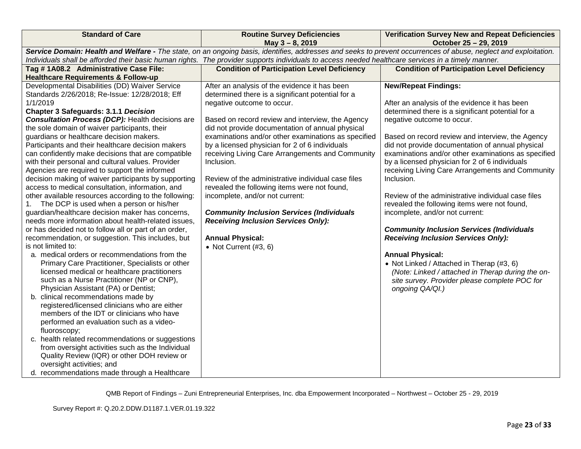| <b>Standard of Care</b>                                                                                  | <b>Routine Survey Deficiencies</b><br>May $3 - 8$ , 2019                                                                                                        | <b>Verification Survey New and Repeat Deficiencies</b><br>October 25 - 29, 2019 |
|----------------------------------------------------------------------------------------------------------|-----------------------------------------------------------------------------------------------------------------------------------------------------------------|---------------------------------------------------------------------------------|
|                                                                                                          | Service Domain: Health and Welfare - The state, on an ongoing basis, identifies, addresses and seeks to prevent occurrences of abuse, neglect and exploitation. |                                                                                 |
|                                                                                                          | Individuals shall be afforded their basic human rights. The provider supports individuals to access needed healthcare services in a timely manner.              |                                                                                 |
| Tag #1A08.2 Administrative Case File:                                                                    | <b>Condition of Participation Level Deficiency</b>                                                                                                              | <b>Condition of Participation Level Deficiency</b>                              |
| <b>Healthcare Requirements &amp; Follow-up</b>                                                           |                                                                                                                                                                 |                                                                                 |
| Developmental Disabilities (DD) Waiver Service                                                           | After an analysis of the evidence it has been                                                                                                                   | <b>New/Repeat Findings:</b>                                                     |
| Standards 2/26/2018; Re-Issue: 12/28/2018; Eff                                                           | determined there is a significant potential for a                                                                                                               |                                                                                 |
| 1/1/2019                                                                                                 | negative outcome to occur.                                                                                                                                      | After an analysis of the evidence it has been                                   |
| <b>Chapter 3 Safeguards: 3.1.1 Decision</b>                                                              |                                                                                                                                                                 | determined there is a significant potential for a                               |
| <b>Consultation Process (DCP):</b> Health decisions are                                                  | Based on record review and interview, the Agency                                                                                                                | negative outcome to occur.                                                      |
| the sole domain of waiver participants, their                                                            | did not provide documentation of annual physical                                                                                                                |                                                                                 |
| guardians or healthcare decision makers.                                                                 | examinations and/or other examinations as specified                                                                                                             | Based on record review and interview, the Agency                                |
| Participants and their healthcare decision makers                                                        | by a licensed physician for 2 of 6 individuals                                                                                                                  | did not provide documentation of annual physical                                |
| can confidently make decisions that are compatible                                                       | receiving Living Care Arrangements and Community                                                                                                                | examinations and/or other examinations as specified                             |
| with their personal and cultural values. Provider                                                        | Inclusion.                                                                                                                                                      | by a licensed physician for 2 of 6 individuals                                  |
| Agencies are required to support the informed                                                            | Review of the administrative individual case files                                                                                                              | receiving Living Care Arrangements and Community<br>Inclusion.                  |
| decision making of waiver participants by supporting<br>access to medical consultation, information, and | revealed the following items were not found,                                                                                                                    |                                                                                 |
| other available resources according to the following:                                                    | incomplete, and/or not current:                                                                                                                                 | Review of the administrative individual case files                              |
| The DCP is used when a person or his/her<br>$1_{\cdot}$                                                  |                                                                                                                                                                 | revealed the following items were not found,                                    |
| guardian/healthcare decision maker has concerns,                                                         | <b>Community Inclusion Services (Individuals</b>                                                                                                                | incomplete, and/or not current:                                                 |
| needs more information about health-related issues.                                                      | <b>Receiving Inclusion Services Only):</b>                                                                                                                      |                                                                                 |
| or has decided not to follow all or part of an order,                                                    |                                                                                                                                                                 | <b>Community Inclusion Services (Individuals</b>                                |
| recommendation, or suggestion. This includes, but                                                        | <b>Annual Physical:</b>                                                                                                                                         | <b>Receiving Inclusion Services Only):</b>                                      |
| is not limited to:                                                                                       | • Not Current $(#3, 6)$                                                                                                                                         |                                                                                 |
| a. medical orders or recommendations from the                                                            |                                                                                                                                                                 | <b>Annual Physical:</b>                                                         |
| Primary Care Practitioner, Specialists or other                                                          |                                                                                                                                                                 | • Not Linked / Attached in Therap (#3, 6)                                       |
| licensed medical or healthcare practitioners                                                             |                                                                                                                                                                 | (Note: Linked / attached in Therap during the on-                               |
| such as a Nurse Practitioner (NP or CNP),                                                                |                                                                                                                                                                 | site survey. Provider please complete POC for                                   |
| Physician Assistant (PA) or Dentist;                                                                     |                                                                                                                                                                 | ongoing QA/QI.)                                                                 |
| b. clinical recommendations made by                                                                      |                                                                                                                                                                 |                                                                                 |
| registered/licensed clinicians who are either                                                            |                                                                                                                                                                 |                                                                                 |
| members of the IDT or clinicians who have                                                                |                                                                                                                                                                 |                                                                                 |
| performed an evaluation such as a video-                                                                 |                                                                                                                                                                 |                                                                                 |
| fluoroscopy;                                                                                             |                                                                                                                                                                 |                                                                                 |
| c. health related recommendations or suggestions                                                         |                                                                                                                                                                 |                                                                                 |
| from oversight activities such as the Individual                                                         |                                                                                                                                                                 |                                                                                 |
| Quality Review (IQR) or other DOH review or                                                              |                                                                                                                                                                 |                                                                                 |
| oversight activities; and                                                                                |                                                                                                                                                                 |                                                                                 |
| d. recommendations made through a Healthcare                                                             |                                                                                                                                                                 |                                                                                 |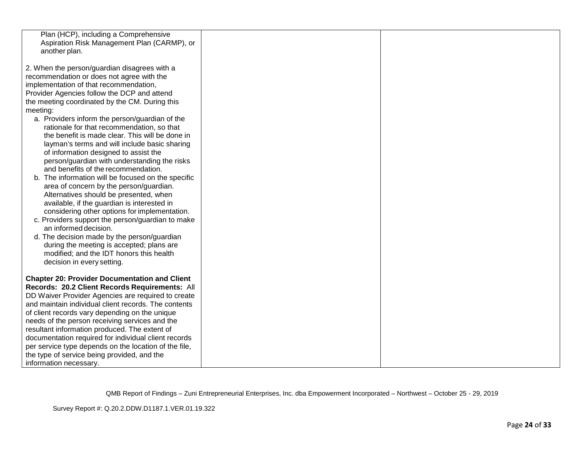| Plan (HCP), including a Comprehensive<br>Aspiration Risk Management Plan (CARMP), or<br>another plan.      |  |
|------------------------------------------------------------------------------------------------------------|--|
| 2. When the person/guardian disagrees with a                                                               |  |
| recommendation or does not agree with the                                                                  |  |
| implementation of that recommendation,                                                                     |  |
| Provider Agencies follow the DCP and attend                                                                |  |
| the meeting coordinated by the CM. During this                                                             |  |
| meeting:                                                                                                   |  |
| a. Providers inform the person/guardian of the                                                             |  |
| rationale for that recommendation, so that                                                                 |  |
| the benefit is made clear. This will be done in                                                            |  |
| layman's terms and will include basic sharing                                                              |  |
| of information designed to assist the                                                                      |  |
| person/guardian with understanding the risks                                                               |  |
| and benefits of the recommendation.                                                                        |  |
| The information will be focused on the specific<br>area of concern by the person/guardian.                 |  |
| Alternatives should be presented, when                                                                     |  |
| available, if the guardian is interested in                                                                |  |
| considering other options for implementation.                                                              |  |
| c. Providers support the person/guardian to make                                                           |  |
| an informed decision.                                                                                      |  |
| d. The decision made by the person/guardian                                                                |  |
| during the meeting is accepted; plans are                                                                  |  |
| modified; and the IDT honors this health                                                                   |  |
| decision in every setting.                                                                                 |  |
|                                                                                                            |  |
| <b>Chapter 20: Provider Documentation and Client</b>                                                       |  |
| Records: 20.2 Client Records Requirements: All                                                             |  |
| DD Waiver Provider Agencies are required to create<br>and maintain individual client records. The contents |  |
| of client records vary depending on the unique                                                             |  |
| needs of the person receiving services and the                                                             |  |
| resultant information produced. The extent of                                                              |  |
| documentation required for individual client records                                                       |  |
| per service type depends on the location of the file,                                                      |  |
| the type of service being provided, and the                                                                |  |
| information necessary.                                                                                     |  |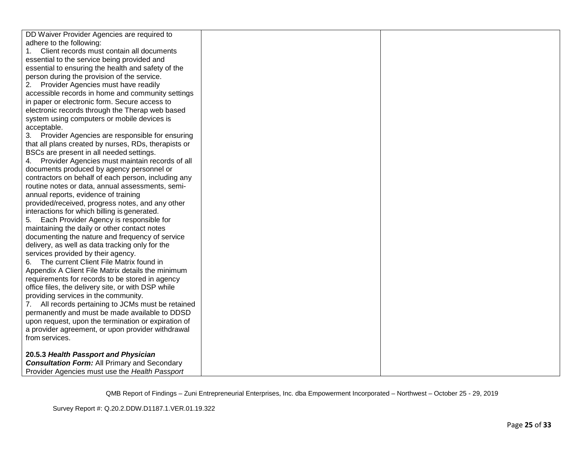| DD Waiver Provider Agencies are required to           |  |
|-------------------------------------------------------|--|
| adhere to the following:                              |  |
| Client records must contain all documents<br>1.       |  |
| essential to the service being provided and           |  |
| essential to ensuring the health and safety of the    |  |
| person during the provision of the service.           |  |
| Provider Agencies must have readily<br>2.             |  |
| accessible records in home and community settings     |  |
| in paper or electronic form. Secure access to         |  |
| electronic records through the Therap web based       |  |
| system using computers or mobile devices is           |  |
| acceptable.                                           |  |
| 3. Provider Agencies are responsible for ensuring     |  |
| that all plans created by nurses, RDs, therapists or  |  |
| BSCs are present in all needed settings.              |  |
| Provider Agencies must maintain records of all<br>4.  |  |
| documents produced by agency personnel or             |  |
| contractors on behalf of each person, including any   |  |
| routine notes or data, annual assessments, semi-      |  |
| annual reports, evidence of training                  |  |
| provided/received, progress notes, and any other      |  |
| interactions for which billing is generated.          |  |
| Each Provider Agency is responsible for<br>5.         |  |
| maintaining the daily or other contact notes          |  |
| documenting the nature and frequency of service       |  |
| delivery, as well as data tracking only for the       |  |
| services provided by their agency.                    |  |
| The current Client File Matrix found in<br>6.         |  |
| Appendix A Client File Matrix details the minimum     |  |
| requirements for records to be stored in agency       |  |
| office files, the delivery site, or with DSP while    |  |
| providing services in the community.                  |  |
| 7.<br>All records pertaining to JCMs must be retained |  |
| permanently and must be made available to DDSD        |  |
| upon request, upon the termination or expiration of   |  |
| a provider agreement, or upon provider withdrawal     |  |
| from services.                                        |  |
|                                                       |  |
| 20.5.3 Health Passport and Physician                  |  |
| <b>Consultation Form: All Primary and Secondary</b>   |  |
| Provider Agencies must use the Health Passport        |  |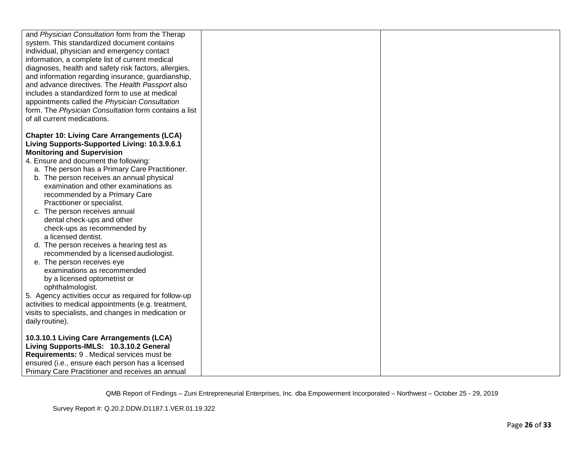| and Physician Consultation form from the Therap       |  |
|-------------------------------------------------------|--|
| system. This standardized document contains           |  |
| individual, physician and emergency contact           |  |
| information, a complete list of current medical       |  |
| diagnoses, health and safety risk factors, allergies, |  |
| and information regarding insurance, guardianship,    |  |
| and advance directives. The Health Passport also      |  |
| includes a standardized form to use at medical        |  |
|                                                       |  |
| appointments called the Physician Consultation        |  |
| form. The Physician Consultation form contains a list |  |
| of all current medications.                           |  |
|                                                       |  |
| <b>Chapter 10: Living Care Arrangements (LCA)</b>     |  |
| Living Supports-Supported Living: 10.3.9.6.1          |  |
| <b>Monitoring and Supervision</b>                     |  |
| 4. Ensure and document the following:                 |  |
| a. The person has a Primary Care Practitioner.        |  |
| b. The person receives an annual physical             |  |
| examination and other examinations as                 |  |
| recommended by a Primary Care                         |  |
| Practitioner or specialist.                           |  |
| c. The person receives annual                         |  |
| dental check-ups and other                            |  |
| check-ups as recommended by                           |  |
| a licensed dentist.                                   |  |
|                                                       |  |
| d. The person receives a hearing test as              |  |
| recommended by a licensed audiologist.                |  |
| e. The person receives eye                            |  |
| examinations as recommended                           |  |
| by a licensed optometrist or                          |  |
| ophthalmologist.                                      |  |
| 5. Agency activities occur as required for follow-up  |  |
| activities to medical appointments (e.g. treatment,   |  |
| visits to specialists, and changes in medication or   |  |
| daily routine).                                       |  |
|                                                       |  |
| 10.3.10.1 Living Care Arrangements (LCA)              |  |
| Living Supports-IMLS: 10.3.10.2 General               |  |
| Requirements: 9 . Medical services must be            |  |
| ensured (i.e., ensure each person has a licensed      |  |
| Primary Care Practitioner and receives an annual      |  |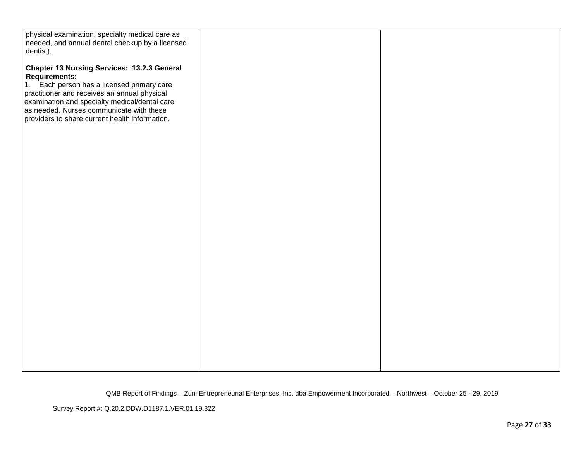| physical examination, specialty medical care as    |  |
|----------------------------------------------------|--|
| needed, and annual dental checkup by a licensed    |  |
| dentist).                                          |  |
|                                                    |  |
|                                                    |  |
| <b>Chapter 13 Nursing Services: 13.2.3 General</b> |  |
| <b>Requirements:</b>                               |  |
| Each person has a licensed primary care<br>1.      |  |
| practitioner and receives an annual physical       |  |
| examination and specialty medical/dental care      |  |
| as needed. Nurses communicate with these           |  |
| providers to share current health information.     |  |
|                                                    |  |
|                                                    |  |
|                                                    |  |
|                                                    |  |
|                                                    |  |
|                                                    |  |
|                                                    |  |
|                                                    |  |
|                                                    |  |
|                                                    |  |
|                                                    |  |
|                                                    |  |
|                                                    |  |
|                                                    |  |
|                                                    |  |
|                                                    |  |
|                                                    |  |
|                                                    |  |
|                                                    |  |
|                                                    |  |
|                                                    |  |
|                                                    |  |
|                                                    |  |
|                                                    |  |
|                                                    |  |
|                                                    |  |
|                                                    |  |
|                                                    |  |
|                                                    |  |
|                                                    |  |
|                                                    |  |
|                                                    |  |
|                                                    |  |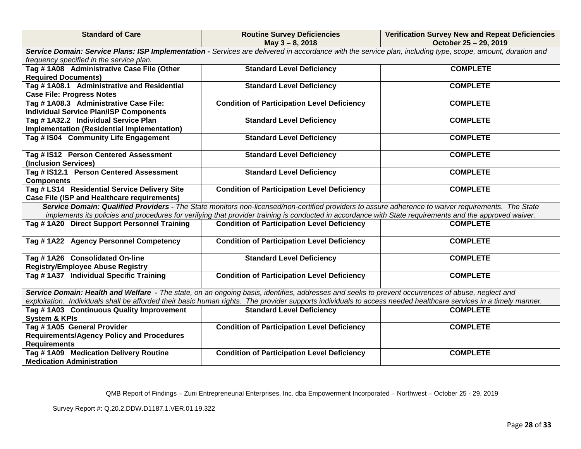| <b>Standard of Care</b>                                                             | <b>Routine Survey Deficiencies</b><br>May 3 - 8, 2018                                                                                                                                                                                                                                                          | <b>Verification Survey New and Repeat Deficiencies</b><br>October 25 - 29, 2019 |
|-------------------------------------------------------------------------------------|----------------------------------------------------------------------------------------------------------------------------------------------------------------------------------------------------------------------------------------------------------------------------------------------------------------|---------------------------------------------------------------------------------|
|                                                                                     | Service Domain: Service Plans: ISP Implementation - Services are delivered in accordance with the service plan, including type, scope, amount, duration and                                                                                                                                                    |                                                                                 |
| frequency specified in the service plan.                                            |                                                                                                                                                                                                                                                                                                                |                                                                                 |
| Tag #1A08 Administrative Case File (Other                                           | <b>Standard Level Deficiency</b>                                                                                                                                                                                                                                                                               | <b>COMPLETE</b>                                                                 |
| <b>Required Documents)</b>                                                          |                                                                                                                                                                                                                                                                                                                |                                                                                 |
| Tag #1A08.1 Administrative and Residential                                          | <b>Standard Level Deficiency</b>                                                                                                                                                                                                                                                                               | <b>COMPLETE</b>                                                                 |
| <b>Case File: Progress Notes</b>                                                    |                                                                                                                                                                                                                                                                                                                |                                                                                 |
| Tag # 1A08.3 Administrative Case File:                                              | <b>Condition of Participation Level Deficiency</b>                                                                                                                                                                                                                                                             | <b>COMPLETE</b>                                                                 |
| <b>Individual Service Plan/ISP Components</b>                                       |                                                                                                                                                                                                                                                                                                                |                                                                                 |
| Tag #1A32.2 Individual Service Plan                                                 | <b>Standard Level Deficiency</b>                                                                                                                                                                                                                                                                               | <b>COMPLETE</b>                                                                 |
| Implementation (Residential Implementation)<br>Tag # IS04 Community Life Engagement | <b>Standard Level Deficiency</b>                                                                                                                                                                                                                                                                               | <b>COMPLETE</b>                                                                 |
|                                                                                     |                                                                                                                                                                                                                                                                                                                |                                                                                 |
| Tag # IS12 Person Centered Assessment                                               | <b>Standard Level Deficiency</b>                                                                                                                                                                                                                                                                               | <b>COMPLETE</b>                                                                 |
| (Inclusion Services)                                                                |                                                                                                                                                                                                                                                                                                                |                                                                                 |
| Tag # IS12.1 Person Centered Assessment                                             | <b>Standard Level Deficiency</b>                                                                                                                                                                                                                                                                               | <b>COMPLETE</b>                                                                 |
| <b>Components</b>                                                                   |                                                                                                                                                                                                                                                                                                                |                                                                                 |
| Tag # LS14 Residential Service Delivery Site                                        | <b>Condition of Participation Level Deficiency</b>                                                                                                                                                                                                                                                             | <b>COMPLETE</b>                                                                 |
| <b>Case File (ISP and Healthcare requirements)</b>                                  |                                                                                                                                                                                                                                                                                                                |                                                                                 |
|                                                                                     | Service Domain: Qualified Providers - The State monitors non-licensed/non-certified providers to assure adherence to waiver requirements. The State<br>implements its policies and procedures for verifying that provider training is conducted in accordance with State requirements and the approved waiver. |                                                                                 |
| Tag #1A20 Direct Support Personnel Training                                         | <b>Condition of Participation Level Deficiency</b>                                                                                                                                                                                                                                                             | <b>COMPLETE</b>                                                                 |
|                                                                                     |                                                                                                                                                                                                                                                                                                                |                                                                                 |
| Tag #1A22 Agency Personnel Competency                                               | <b>Condition of Participation Level Deficiency</b>                                                                                                                                                                                                                                                             | <b>COMPLETE</b>                                                                 |
| Tag #1A26 Consolidated On-line                                                      | <b>Standard Level Deficiency</b>                                                                                                                                                                                                                                                                               | <b>COMPLETE</b>                                                                 |
| <b>Registry/Employee Abuse Registry</b>                                             |                                                                                                                                                                                                                                                                                                                |                                                                                 |
| Tag #1A37 Individual Specific Training                                              | <b>Condition of Participation Level Deficiency</b>                                                                                                                                                                                                                                                             | <b>COMPLETE</b>                                                                 |
|                                                                                     | Service Domain: Health and Welfare - The state, on an ongoing basis, identifies, addresses and seeks to prevent occurrences of abuse, neglect and                                                                                                                                                              |                                                                                 |
|                                                                                     | exploitation. Individuals shall be afforded their basic human rights. The provider supports individuals to access needed healthcare services in a timely manner.                                                                                                                                               |                                                                                 |
| Tag #1A03 Continuous Quality Improvement                                            | <b>Standard Level Deficiency</b>                                                                                                                                                                                                                                                                               | <b>COMPLETE</b>                                                                 |
| <b>System &amp; KPIs</b>                                                            |                                                                                                                                                                                                                                                                                                                |                                                                                 |
| Tag #1A05 General Provider                                                          | <b>Condition of Participation Level Deficiency</b>                                                                                                                                                                                                                                                             | <b>COMPLETE</b>                                                                 |
| <b>Requirements/Agency Policy and Procedures</b>                                    |                                                                                                                                                                                                                                                                                                                |                                                                                 |
| <b>Requirements</b>                                                                 |                                                                                                                                                                                                                                                                                                                |                                                                                 |
| Tag #1A09 Medication Delivery Routine                                               | <b>Condition of Participation Level Deficiency</b>                                                                                                                                                                                                                                                             | <b>COMPLETE</b>                                                                 |
| <b>Medication Administration</b>                                                    |                                                                                                                                                                                                                                                                                                                |                                                                                 |

Survey Report #: Q.20.2.DDW.D1187.1.VER.01.19.322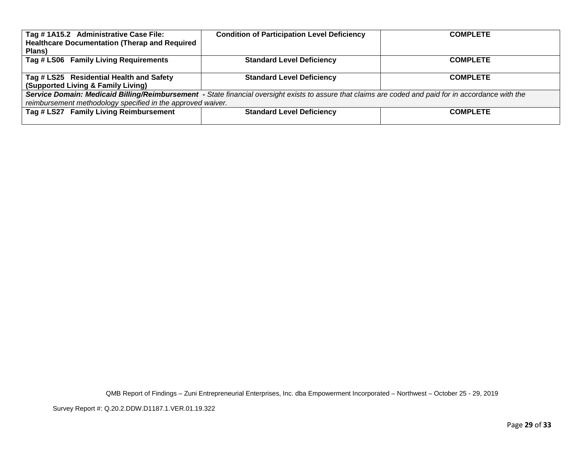| Tag #1A15.2 Administrative Case File:                       | <b>Condition of Participation Level Deficiency</b>                                                                                                    | <b>COMPLETE</b> |
|-------------------------------------------------------------|-------------------------------------------------------------------------------------------------------------------------------------------------------|-----------------|
| <b>Healthcare Documentation (Therap and Required</b>        |                                                                                                                                                       |                 |
| Plans)                                                      |                                                                                                                                                       |                 |
| Tag # LS06 Family Living Requirements                       | <b>Standard Level Deficiency</b>                                                                                                                      | <b>COMPLETE</b> |
|                                                             |                                                                                                                                                       |                 |
| Tag # LS25 Residential Health and Safety                    | <b>Standard Level Deficiency</b>                                                                                                                      | <b>COMPLETE</b> |
| (Supported Living & Family Living)                          |                                                                                                                                                       |                 |
|                                                             | Service Domain: Medicaid Billing/Reimbursement - State financial oversight exists to assure that claims are coded and paid for in accordance with the |                 |
| reimbursement methodology specified in the approved waiver. |                                                                                                                                                       |                 |
| Tag # LS27 Family Living Reimbursement                      | <b>Standard Level Deficiency</b>                                                                                                                      | <b>COMPLETE</b> |
|                                                             |                                                                                                                                                       |                 |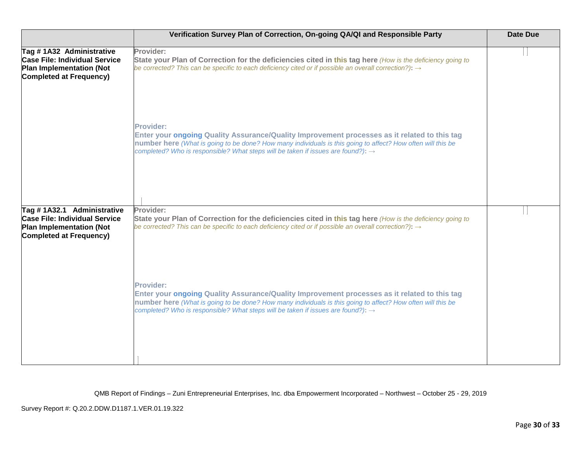|                                                                                                                                         | Verification Survey Plan of Correction, On-going QA/QI and Responsible Party                                                                                                                                                                                                                                                    | Date Due |
|-----------------------------------------------------------------------------------------------------------------------------------------|---------------------------------------------------------------------------------------------------------------------------------------------------------------------------------------------------------------------------------------------------------------------------------------------------------------------------------|----------|
| Tag #1A32 Administrative<br><b>Case File: Individual Service</b><br><b>Plan Implementation (Not</b><br><b>Completed at Frequency)</b>   | Provider:<br>State your Plan of Correction for the deficiencies cited in this tag here (How is the deficiency going to<br>be corrected? This can be specific to each deficiency cited or if possible an overall correction?): $\rightarrow$                                                                                     |          |
|                                                                                                                                         | <b>Provider:</b><br>Enter your ongoing Quality Assurance/Quality Improvement processes as it related to this tag<br>number here (What is going to be done? How many individuals is this going to affect? How often will this be<br>completed? Who is responsible? What steps will be taken if issues are found?): $\rightarrow$ |          |
| Tag #1A32.1 Administrative<br><b>Case File: Individual Service</b><br><b>Plan Implementation (Not</b><br><b>Completed at Frequency)</b> | Provider:<br>State your Plan of Correction for the deficiencies cited in this tag here (How is the deficiency going to<br>be corrected? This can be specific to each deficiency cited or if possible an overall correction?): $\rightarrow$                                                                                     |          |
|                                                                                                                                         | <b>Provider:</b><br>Enter your ongoing Quality Assurance/Quality Improvement processes as it related to this tag<br>number here (What is going to be done? How many individuals is this going to affect? How often will this be<br>completed? Who is responsible? What steps will be taken if issues are found?): →             |          |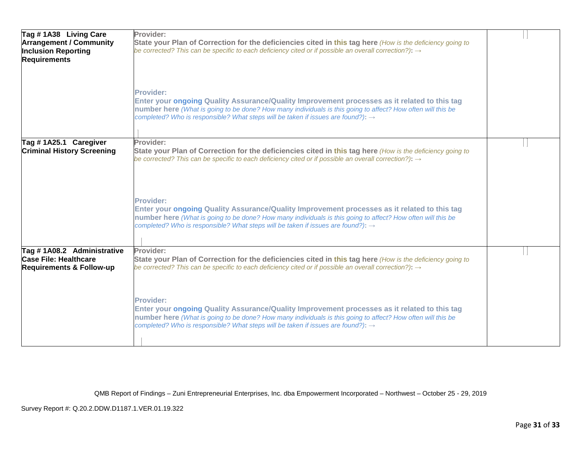| Tag #1A38 Living Care<br><b>Arrangement / Community</b><br><b>Inclusion Reporting</b><br><b>Requirements</b> | Provider:<br>State your Plan of Correction for the deficiencies cited in this tag here (How is the deficiency going to<br>be corrected? This can be specific to each deficiency cited or if possible an overall correction?): $\rightarrow$                                                                                     |  |
|--------------------------------------------------------------------------------------------------------------|---------------------------------------------------------------------------------------------------------------------------------------------------------------------------------------------------------------------------------------------------------------------------------------------------------------------------------|--|
|                                                                                                              | <b>Provider:</b><br>Enter your ongoing Quality Assurance/Quality Improvement processes as it related to this tag<br>number here (What is going to be done? How many individuals is this going to affect? How often will this be<br>completed? Who is responsible? What steps will be taken if issues are found?): $\rightarrow$ |  |
| Tag #1A25.1 Caregiver<br><b>Criminal History Screening</b>                                                   | Provider:<br>State your Plan of Correction for the deficiencies cited in this tag here (How is the deficiency going to<br>be corrected? This can be specific to each deficiency cited or if possible an overall correction?): $\rightarrow$                                                                                     |  |
|                                                                                                              | <b>Provider:</b><br>Enter your ongoing Quality Assurance/Quality Improvement processes as it related to this tag<br>number here (What is going to be done? How many individuals is this going to affect? How often will this be<br>completed? Who is responsible? What steps will be taken if issues are found?): →             |  |
| Tag #1A08.2 Administrative<br><b>Case File: Healthcare</b><br><b>Requirements &amp; Follow-up</b>            | Provider:<br>State your Plan of Correction for the deficiencies cited in this tag here (How is the deficiency going to<br>be corrected? This can be specific to each deficiency cited or if possible an overall correction?): $\rightarrow$                                                                                     |  |
|                                                                                                              | <b>Provider:</b><br>Enter your ongoing Quality Assurance/Quality Improvement processes as it related to this tag<br>number here (What is going to be done? How many individuals is this going to affect? How often will this be<br>completed? Who is responsible? What steps will be taken if issues are found?): →             |  |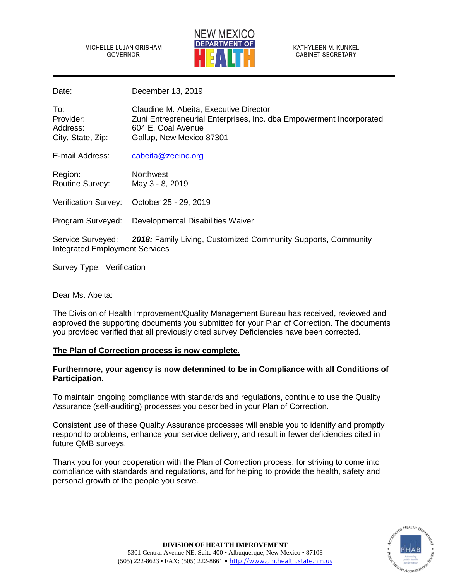MICHELLE LUJAN GRISHAM GOVERNOR



Date: December 13, 2019

| To:<br>Provider:<br>Address:<br>City, State, Zip:                                                                                  | Claudine M. Abeita, Executive Director<br>Zuni Entrepreneurial Enterprises, Inc. dba Empowerment Incorporated<br>604 E. Coal Avenue<br>Gallup, New Mexico 87301 |
|------------------------------------------------------------------------------------------------------------------------------------|-----------------------------------------------------------------------------------------------------------------------------------------------------------------|
| E-mail Address:                                                                                                                    | cabeita@zeeinc.org                                                                                                                                              |
| Region:<br><b>Routine Survey:</b>                                                                                                  | <b>Northwest</b><br>May 3 - 8, 2019                                                                                                                             |
| Verification Survey:                                                                                                               | October 25 - 29, 2019                                                                                                                                           |
| Program Surveyed:                                                                                                                  | Developmental Disabilities Waiver                                                                                                                               |
| <b>2018:</b> Family Living, Customized Community Supports, Community<br>Service Surveyed:<br><b>Integrated Employment Services</b> |                                                                                                                                                                 |

Survey Type: Verification

Dear Ms. Abeita:

The Division of Health Improvement/Quality Management Bureau has received, reviewed and approved the supporting documents you submitted for your Plan of Correction. The documents you provided verified that all previously cited survey Deficiencies have been corrected.

# **The Plan of Correction process is now complete.**

# **Furthermore, your agency is now determined to be in Compliance with all Conditions of Participation.**

To maintain ongoing compliance with standards and regulations, continue to use the Quality Assurance (self-auditing) processes you described in your Plan of Correction.

Consistent use of these Quality Assurance processes will enable you to identify and promptly respond to problems, enhance your service delivery, and result in fewer deficiencies cited in future QMB surveys.

Thank you for your cooperation with the Plan of Correction process, for striving to come into compliance with standards and regulations, and for helping to provide the health, safety and personal growth of the people you serve.